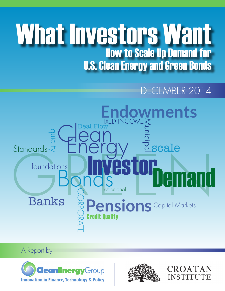# What Investors Want How to Scale Up Demand for U.S. Clean Energy and Green Bonds

## DECEMBER 2014



## A Report by





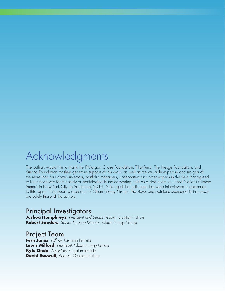## Acknowledgments

The authors would like to thank the JPMorgan Chase Foundation, Tilia Fund, The Kresge Foundation, and Surdna Foundation for their generous support of this work, as well as the valuable expertise and insights of the more than four dozen investors, portfolio managers, underwriters and other experts in the field that agreed to be interviewed for this study or participated in the convening held as a side event to United Nations Climate Summit in New York City, in September 2014. A listing of the institutions that were interviewed is appended to this report. This report is a product of Clean Energy Group. The views and opinions expressed in this report are solely those of the authors.

### Principal Investigators

**Joshua Humphreys**, *President and Senior Fellow*, Croatan Institute **Robert Sanders**, *Senior Finance Director*, Clean Energy Group

### Project Team

**Fern Jones**, *Fellow*, Croatan Institute **Lewis Milford**, *President*, Clean Energy Group **Kyle Onda**, *Associate*, Croatan Institute **David Roswell**, *Analyst*, Croatan Institute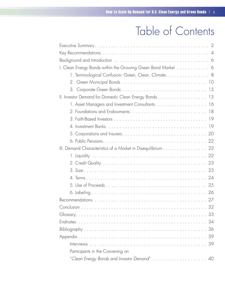## Table of Contents

| I. Clean Energy Bonds within the Growing Green Bond Market 6 |
|--------------------------------------------------------------|
| 1. Terminological Confusion: Green, Clean, Climate 8         |
|                                                              |
|                                                              |
| II. Investor Demand for Domestic Clean Energy Bonds 15       |
|                                                              |
|                                                              |
|                                                              |
| 19                                                           |
|                                                              |
|                                                              |
| III. Demand Characteristics of a Market in Disequilibrium 22 |
|                                                              |
|                                                              |
|                                                              |
|                                                              |
| 25                                                           |
| 26                                                           |
| 27                                                           |
| 32                                                           |
| 33                                                           |
| 34                                                           |
| 36                                                           |
| 39                                                           |
| 39                                                           |
| Participants in the Convening on                             |
| 40                                                           |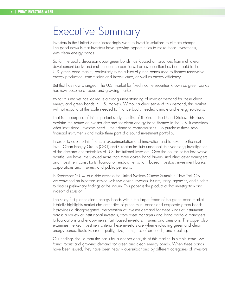## Executive Summary

Investors in the United States increasingly want to invest in solutions to climate change. The good news is that investors have growing opportunities to make those investments, with clean energy bonds.

So far, the public discussion about green bonds has focused on issuances from multilateral development banks and multinational corporations. Far less attention has been paid to the U.S. green bond market, particularly to the subset of green bonds used to finance renewable energy production, transmission and infrastructure, as well as energy efficiency.

But that has now changed. The U.S. market for fixed-income securities known as green bonds has now become a robust and growing market.

What this market has lacked is a strong understanding of investor demand for these clean energy and green bonds in U.S. markets. Without a clear sense of this demand, this market will not expand at the scale needed to finance badly needed climate and energy solutions.

That is the purpose of this important study, the first of its kind in the United States. This study explains the nature of investor demand for clean energy bond finance in the U.S. It examines what institutional investors need – their demand characteristics – to purchase these new financial instruments and make them part of a sound investment portfolio.

In order to capture this financial experimentation and innovation and to take it to the next level, Clean Energy Group (CEG) and Croatan Institute undertook this year-long investigation of the demand characteristics of U.S. institutional investors. Over the course of the last twelve months, we have interviewed more than three dozen bond buyers, including asset managers and investment consultants, foundation endowments, faith-based investors, investment banks, corporations and insurers, and public pensions.

In September 2014, at a side event to the United Nations Climate Summit in New York City, we convened an in-person session with two dozen investors, issuers, rating agencies, and funders to discuss preliminary findings of the inquiry. This paper is the product of that investigation and in-depth discussion.

The study first places clean energy bonds within the larger frame of the green bond market. It briefly highlights market characteristics of green muni bonds and corporate green bonds. It provides a disaggregated interpretation of investor demand for these kinds of instruments across a variety of institutional investors, from asset managers and bond portfolio managers to foundations and endowments, faith-based investors, insurers and pensions. The paper also examines the key investment criteria these investors use when evaluating green and clean energy bonds: liquidity, credit quality, size, terms, use of proceeds, and labeling.

Our findings should form the basis for a deeper analysis of this market. In simple terms, we found robust and growing demand for green and clean energy bonds. When these bonds have been issued, they have been heavily oversubscribed by different categories of investors.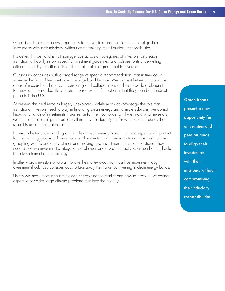Green bonds present a new opportunity for universities and pension funds to align their investments with their missions, without compromising their fiduciary responsibilities.

However, this demand is not homogenous across all categories of investors, and each institution will apply its own specific investment guidelines and policies to its underwriting criteria. Liquidity, credit quality and size all matter a great deal to investors.

Our inquiry concludes with a broad range of specific recommendations that in time could increase the flow of funds into clean energy bond finance. We suggest further actions in the areas of research and analysis, convening and collaboration, and we provide a blueprint for how to increase deal flow in order to realize the full potential that the green bond market presents in the U.S.

At present, this field remains largely unexplored. While many acknowledge the role that institutional investors need to play in financing clean energy and climate solutions, we do not know what kinds of investments make sense for their portfolios. Until we know what investors want, the suppliers of green bonds will not have a clear signal for what kinds of bonds they should issue to meet that demand.

Having a better understanding of the role of clean energy bond finance is especially important for the growing groups of foundations, endowments, and other institutional investors that are grappling with fossil-fuel divestment and seeking new investments in climate solutions. They need a positive investment strategy to complement any divestment activity. Green bonds should be a key element of that strategy.

In other words, investors who want to take the money away from fossil-fuel industries through divestment should also consider ways to take away the market by investing in clean energy bonds.

Unless we know more about this clean energy finance market and how to grow it, we cannot expect to solve the large climate problems that face the country.

Green bonds present a new opportunity for universities and pension funds to align their **investments** with their missions, without compromising their fiduciary responsibilities.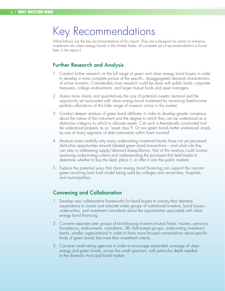## Key Recommendations

What follows are the key recommendations of this report. They are a blueprint for action to enhance investment into clean energy bonds in the United States. (A complete set of recommendations is found later in the report.)

#### Further Research and Analysis

- 1. Conduct further research on the full range of green and clean energy bond buyers in order to develop a more complete picture of the specific, disaggregated demand characteristics of active investors. Considerably more research could be done with public funds, corporate treasurers, college endowments, and larger mutual funds and asset managers.
- 2. Assess more clearly and quantitatively the size of potential investor demand and the opportunity set associated with clean energy bond investment by reviewing fixed-income portfolio allocations of this fuller range of investors active in this market.
- 3. Conduct deeper analysis of green bond attributes in order to develop greater consensus about the nature of the instrument and the degree to which they can be understood as a distinctive category to which to allocate assets. Can such a thematically constructed tool be understood properly as an "asset class"? Or are green bonds better understood simply as one of many segments of debt instruments within fixed income?
- 4. Analyze more carefully why many underwriting investment banks have not yet perceived distinctive opportunities around labeled green bond transactions – and what role they can play in addressing supply/demand disequilibrium. Part of this analysis could involve reviewing underwriting criteria and understanding the processes that lead banks to determine whether to buy the deal, place it, or offer it onto the public markets.
- 5. Explore the potential ways that clean energy bond financing can support the nascent green revolving loan fund model being used by colleges and universities, hospitals, and municipalities.

### Convening and Collaboration

- 1. Develop new collaborative frameworks for bond buyers to convey their demand expectations to issuers and educate wider groups of institutional investors, bond buyers, underwriters, and investment consultants about the opportunities associated with clean energy bond financing.
- 2. Convene separate peer groups of bond-buying investors (mutual funds, insurers, pensions, foundations, endowments, consultants, SRI, faith-based groups, underwriting investment banks, smaller organizations) in order to have more focused conversations about specific kinds of green bonds that meet their investment criteria.
- 3. Convene credit rating agencies in order to encourage expanded coverage of clean energy and green bonds, across the credit spectrum, with particular depth needed in the domestic municipal bond market.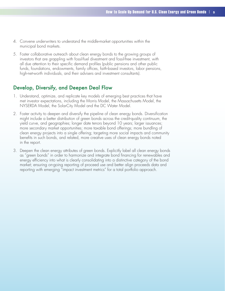- 4. Convene underwriters to understand the middle-market opportunities within the municipal bond markets.
- 5. Foster collaborative outreach about clean energy bonds to the growing groups of investors that are grappling with fossil-fuel divestment and fossil-free investment, with all due attention to their specific demand profiles (public pensions and other public funds, foundations, endowments, family offices, faith-based investors, labor pensions, high-net-worth individuals, and their advisers and investment consultants).

#### Develop, Diversify, and Deepen Deal Flow

- 1. Understand, optimize, and replicate key models of emerging best practices that have met investor expectations, including the Morris Model, the Massachusetts Model, the NYSERDA Model, the SolarCity Model and the DC Water Model.
- 2. Foster activity to deepen and diversify the pipeline of clean energy bonds. Diversification might include a better distribution of green bonds across the credit-quality continuum, the yield curve, and geographies; longer date tenors beyond 10 years; larger issuances; more secondary market opportunities; more taxable bond offerings; more bundling of clean energy projects into a single offering; targeting more social impacts and community benefits in such bonds, and related, more creative uses of clean energy bonds noted in the report.
- 3. Deepen the clean energy attributes of green bonds. Explicitly label all clean energy bonds as "green bonds" in order to harmonize and integrate bond financing for renewables and energy efficiency into what is clearly consolidating into a distinctive category of the bond market; ensuring on-going reporting of proceed use and better align proceeds data and reporting with emerging "impact investment metrics" for a total portfolio approach.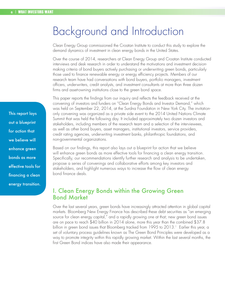## Background and Introduction

Clean Energy Group commissioned the Croatan Institute to conduct this study to explore the demand dynamics of investment in clean energy bonds in the United States.

Over the course of 2014, researchers at Clean Energy Group and Croatan Institute conducted interviews and desk research in order to understand the motivations and investment decisionmaking criteria of bond buyers actively purchasing or underwriting green bonds, particularly those used to finance renewable energy or energy efficiency projects. Members of our research team have had conversations with bond buyers, portfolio managers, investment officers, underwriters, credit analysts, and investment consultants at more than three dozen firms and asset-owning institutions close to the green bond space.

This paper reports the findings from our inquiry and reflects the feedback received at the convening of investors and funders on "Clean Energy Bonds and Investor Demand," which was held on September 22, 2014, at the Surdna Foundation in New York City. The invitationonly convening was organized as a private side event to the 2014 United Nations Climate Summit that was held the following day. It included approximately two dozen investors and stakeholders, including members of the research team and a selection of the interviewees, as well as other bond buyers, asset managers, institutional investors, service providers, credit rating agencies, underwriting investment banks, philanthropic foundations, and non-governmental organizations.

Based on our findings, this report also lays out a blueprint for action that we believe will enhance green bonds as more effective tools for financing a clean energy transition. Specifically, our recommendations identify further research and analysis to be undertaken, propose a series of convenings and collaborative efforts among key investors and stakeholders, and highlight numerous ways to increase the flow of clean energy bond finance deals.

### I. Clean Energy Bonds within the Growing Green Bond Market

Over the last several years, green bonds have increasingly attracted attention in global capital markets. Bloomberg New Energy Finance has described these debt securities as "an emerging source for clean energy capital," and a rapidly growing one at that; new green bond issues are on pace to reach \$40 billion in 2014 alone, more this year than the combined \$37.8 billion in green bond issues that Bloomberg tracked from 1995 to 2013.<sup>1</sup> Earlier this year, a set of voluntary process guidelines known as The Green Bond Principles were developed as a way to promote integrity within this rapidly growing market. Within the last several months, the first Green Bond indices have also made their appearance.

This report lays out a blueprint for action that we believe will enhance green bonds as more effective tools for financing a clean energy transition.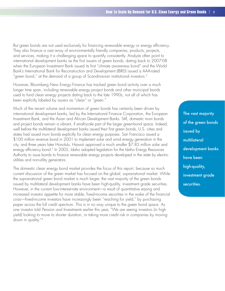But green bonds are not used exclusively for financing renewable energy or energy efficiency. They also finance a vast array of environmentally friendly companies, products, projects, and services, making it a challenging space to quantify consistently. Analysts often point to international development banks as the first issuers of green bonds, dating back to 2007-08 when the European Investment Bank issued its first "climate awareness bond" and the World Bank's International Bank for Reconstruction and Development (IBRD) issued a AAA-rated "green bond," at the demand of a group of Scandinavian institutional investors.<sup>2</sup>

However, Bloomberg New Energy Finance has tracked green bond activity over a much longer time span, including renewable energy project bonds and other municipal bonds used to fund clean energy projects dating back to the late 1990s, not all of which has been explicitly labeled by issuers as "clean" or "green."

Much of the recent volume and momentum of green bonds has certainly been driven by international development banks, led by the International Finance Corporation, the European Investment Bank, and the Asian and African Development Banks. Still, domestic muni bonds and project bonds remain a vibrant, if small-scale part of the larger green-bond space. Indeed, well before the multilateral development banks issued their first green bonds, U.S. cities and states had issued muni bonds explicitly for clean energy purposes. San Francisco issued a \$100 million revenue bond in 2001 to implement solar and wind energy generation in the city, and three years later Honolulu, Hawaii approved a much smaller \$7.85 million solar and energy efficiency bond.<sup>3</sup> In 2005, Idaho adopted legislation for the Idaho Energy Resources Authority to issue bonds to finance renewable energy projects developed in the state by electric utilities and non-utility generators.

The domestic clean energy bond market provides the focus of this report, because so much current discussion of the green market has focused on the global, supranational market. While the supranational green bond market is much larger, the vast majority of the green bonds issued by multilateral development banks have been high-quality, investment grade securities. However, in the current low-interest-rate environment—a result of quantitative easing and increased investor appetite for more stable, fixed-income securities in the wake of the financial crisis—fixed-income investors have increasingly been "reaching for yield," by purchasing paper across the full credit spectrum. This is in no way unique to the green bond space. As one investor told *Pension and Investments* earlier this year, "We are seeing investors (in high yield) looking to move to shorter duration, or taking more credit risk in companies by moving down in quality."4

The vast majority of the green bonds issued by multilateral development banks have been high-quality, investment grade securities.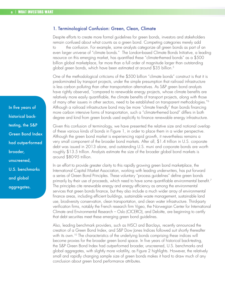#### 1. Terminological Confusion: Green, Clean, Climate

Despite efforts to create more formal guidelines for green bonds, investors and stakeholders remain confused about what counts as a green bond. Competing categories merely add the confusion. For example, some analysts categorize all green bonds as part of an even larger universe of "climate bonds." The London-based Climate Bonds Initiative, a leading resource on this emerging market, has quantified these "climate-themed bonds" as a \$500 billion global marketplace, far more than a full order of magnitude larger than outstanding global green bonds, which have been estimated at around \$35 billion.<sup>5</sup>

One of the methodological criticisms of the \$500 billion "climate bonds" construct is that it is predominated by transport projects, under the simple presumption that railroad infrastructure is less carbon polluting than other transportation alternatives. As S&P green bond analysts have rightly observed, "compared to renewable energy projects, whose climate benefits are relatively more easily quantifiable, the climate benefits of transport projects, along with those of many other issuers in other sectors, need to be established on transparent methodologies."6 Although a railroad infrastructure bond may be more "climate friendly" than bonds financing more carbon intensive forms of transportation, such a "climate-themed bond" differs in both degree and kind from green bonds used explicitly to finance renewable energy infrastructure.

Given this confusion of terminology, we have presented the relative size and notional overlap of these various kinds of bonds in Figure 1, in order to place them in a wider perspective. Although the green bond market is experiencing rapid growth, it nevertheless remains a very small component of the broader bond markets. After all, \$1.4 trillion in U.S. corporate debt was issued in 2013 alone, and outstanding U.S. muni and corporate bonds are worth roughly \$13.5 trillion. Analysts estimate the size of the broader global bond markets is around \$80-95 trillion.

In an effort to provide greater clarity to this rapidly growing green bond marketplace, the International Capital Market Association, working with leading underwriters, has put forward a series of Green Bond Principles. These voluntary "process guidelines" define green bonds primarily by their use of proceeds, which need to have some quantifiable environmental benefit.<sup>7</sup> The principles cite renewable energy and energy efficiency as among the environmental services that green bonds finance, but they also include a much wider array of environmental finance areas, including efficient buildings, sustainable waste management, sustainable land use, biodiversity conservation, clean transportation, and clean water infrastructure. Third-party verification firms, notably the French research firm Vigeo, the Norwegian Center for International Climate and Environmental Research – Oslo (CICERO), and Deloitte, are beginning to certify that debt securities meet these emerging green bond guidelines.

Also, leading benchmark providers, such as MSCI and Barclays, recently announced the creation of a Green Bond Index, and S&P Dow Jones Indices followed suit shortly thereafter with its own.<sup>10</sup> The characteristics of the underlying bonds comprising these indices will become proxies for the broader green bond space. In five years of historical back-testing, the S&P Green Bond Index had outperformed broader, unscreened, U.S. benchmarks and global aggregates, with slightly more volatility, as Figure 2 highlights. However, the relatively small and rapidly changing sample size of green bonds makes it hard to draw much of any conclusion about green bond performance attributes.

In five years of historical backtesting, the S&P Green Bond Index had outperformed broader, unscreened, U.S. benchmarks and global aggregates.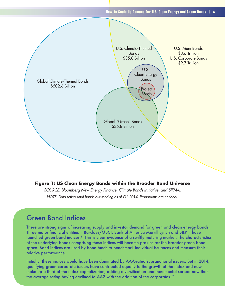

#### **Figure 1: US Clean Energy Bonds within the Broader Bond Universe**

*SOURCE: Bloomberg New Energy Finance, Climate Bonds Initiative, and SIFMA. NOTE: Data reflect total bonds outstanding as of Q1 2014. Proportions are notional.*

### Green Bond Indices

There are strong signs of increasing supply and investor demand for green and clean energy bonds. Three major financial entities – Barclays/MSCI, Bank of America Merrill Lynch and S&P – have launched green bond indices.8 This is clear evidence of a swiftly maturing market. The characteristics of the underlying bonds comprising these indices will become proxies for the broader green bond space. Bond indices are used by bond funds to benchmark individual issuances and measure their relative performance.

Initially, these indices would have been dominated by AAA-rated supranational issuers. But in 2014, qualifying green corporate issuers have contributed equally to the growth of the index and now make up a third of the index capitalization, adding diversification and incremental spread now that the average rating having declined to AA2 with the addition of the corporates. <sup>9</sup>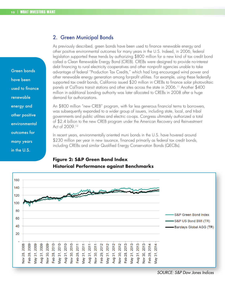#### 2. Green Municipal Bonds

As previously described, green bonds have been used to finance renewable energy and other positive environmental outcomes for many years in the U.S. Indeed, in 2006, federal legislation supported these trends by authorizing \$800 million for a new kind of tax credit bond called a Clean Renewable Energy Bond (CREB). CREBs were designed to provide no-interest debt financing to rural electricity cooperatives and other nonprofit agencies unable to take advantage of federal "Production Tax Credits," which had long encouraged wind power and other renewable energy generation among for-profit utilities. For example, using these federally supported tax credit bonds, California issued \$20 million in CREBs to finance solar photovoltaic panels at CalTrans transit stations and other sites across the state in 2006.<sup>11</sup> Another \$400 million in additional bonding authority was later allocated to CREBs in 2008 after a huge demand for authorizations.

An \$800 million "new CREB" program, with far less generous financial terms to borrowers, was subsequently expanded to a wider group of issuers, including state, local, and tribal governments and public utilities and electric co-ops. Congress ultimately authorized a total of \$2.4 billion to the new CREB program under the American Recovery and Reinvestment Act of 2009.12

In recent years, environmentally oriented muni bonds in the U.S. have hovered around \$230 million per year in new issuance, financed primarily as federal tax credit bonds, including CREBs and similar Qualified Energy Conservation Bonds (QECBs).

### **Figure 2: S&P Green Bond Index Historical Performance against Benchmarks**



Green bonds have been used to finance renewable energy and other positive environmental outcomes for many years in the U.S.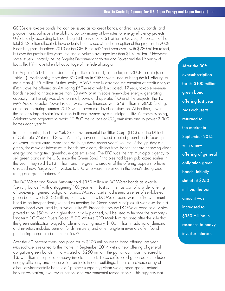QECBs are taxable bonds that can be issued as tax credit bonds, or direct subsidy bonds, and provide municipal issuers the ability to borrow money at low rates for energy efficiency projects. Unfortunately, according to Bloomberg NEF, only around \$1 billion in QECBs, 31 percent of the total \$3.2 billion allocated, have actually been issued since the inception of the program in 2008. Bloomberg has described 2013 as the QECB market's "best year ever," with \$230 million raised, but over the previous five years, the annual volume averaged less than \$155 million.<sup>13</sup> However, some issuers—notably the Los Angeles Department of Water and Power and the University of Louisville, KY—have taken full advantage of the federal program.

Los Angeles' \$131 million deal is of particular interest, as the largest QECB to date (see Table 1). Additionally, more than \$20 million in CREBs were used to bring the full offering to more than \$155 million. At that scale, LADWP readily attracted the attention of credit analysts. (Fitch gave the offering an AA- rating.)14 The relatively long-dated, 17-year, taxable revenue bonds helped to finance more than 30 MW of utility-scale renewable energy, generating capacity that the city was able to install, own, and operate.<sup>15</sup> One of the projects, the 10 MW Adelanto Solar Power Project, which was financed with \$48 million in QECB funding, came online during summer 2012 within seven months of construction. At the time, it was the nation's largest solar installation built and owned by a municipal utility. At commissioning, Adelanto was projected to avoid 12,800 metric tons of  $CO<sub>2</sub>$  emissions and to power 3,300 homes each vear.<sup>16</sup>

In recent months, the New York State Environmental Facilities Corp. (EFC) and the District of Columbia Water and Sewer Authority have each issued labeled green bonds focusing on water infrastructure, more than doubling those recent years' volume. Although they are green, these water infrastructure bonds are clearly distinct from bonds that are financing clean energy and mitigating greenhouse gas emissions. The EFC was the first municipal agency to sell green bonds in the U.S. since the Green Bond Principles had been publicized earlier in the year. They sold \$213 million, and the green character of the offering appears to have attracted new "crossover" investors to EFC who were interested in the bond's strong credit rating and green features.<sup>17</sup>

The DC Water and Sewer Authority sold \$350 million in DC Water bonds as taxable "century bonds," with a staggering 100-year term. Last summer, as part of a wider offering of tax-exempt, general obligation bonds, Massachusetts had issued a series of self-labeled green bonds worth \$100 million, but this summer's DC Water bond was the first U.S. muni bond to be independently verified as meeting the Green Bond Principles. (It was also the first century bond ever listed by a water utility.<sup>[18]</sup> Proceeds from the DC Water bond sale, which proved to be \$50 million higher than initially planned, will be used to finance the authority's long-term DC Clean Rivers Project.<sup>19</sup> DC Water's CFO Mark Kim reported after the sale that the green certification played a role in attracting nearly \$100 million in additional demand, and investors included pension funds, insurers, and other long-term investors often found purchasing corporate bond securities.20

After the 30 percent oversubscription for its \$100 million green bond offering last year, Massachusetts returned to the market in September 2014 with a new offering of general obligation green bonds. Initially slated at \$250 million, the par amount was increased to \$350 million in response to heavy investor interest. These self-labeled green bonds included energy efficiency and conservation projects in state buildings, but also a diverse array of other "environmentally beneficial" projects supporting clean water, open space, natural habitat restoration, river revitalization, and environmental remediation.<sup>21</sup> This suggests that

After the 30% oversubscription for its \$100 million green bond offering last year, **Massachusetts** returned to the market in September 2014 with a new offering of general obligation green bonds. Initially slated at \$250 million, the par amount was increased to \$350 million in response to heavy investor interest.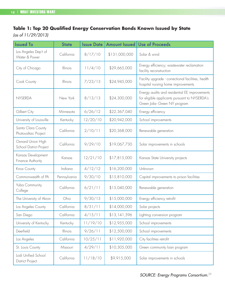### **Table 1: Top 20 Qualified Energy Conservation Bonds Known Issued by State**

*(as of 11/29/2013)*

| <b>Issued To</b>                               | <b>State</b> | <b>Issue Date</b> | Amount Issued | <b>Use of Proceeds</b>                                                                                                         |
|------------------------------------------------|--------------|-------------------|---------------|--------------------------------------------------------------------------------------------------------------------------------|
| Los Angeles Dep't of<br>Water & Power          | California   | 8/17/10           | \$131,000,000 | Solar & wind                                                                                                                   |
| City of Chicago                                | Illinois     | 11/4/10           | \$29,665,000  | Energy efficiency; wastewater reclamation<br>facility reconstruction                                                           |
| Cook County                                    | Illinois     | 7/23/13           | \$24,945,000  | Facility upgrade - correctional facilities, health<br>hospital nursing home improvements.                                      |
| NYSERDA                                        | New York     | 8/13/13           | \$24,300,000  | Energy audits and residential EE improvements<br>for eligible applicants pursuant to NYSERDA's<br>Green Jobs- Green NY program |
| Gilbert City                                   | Minnesota    | 6/26/12           | \$22,367,040  | Energy efficiency                                                                                                              |
| University of Louisville                       | Kentucky     | 12/20/10          | \$20,942,000  | School improvements                                                                                                            |
| Santa Clara County<br>Photovoltaic Project     | California   | 2/10/11           | \$20,368,000  | Renewable generation                                                                                                           |
| Oxnard Union High<br>School District Project   | California   | 9/29/10           | \$19,067,730  | Solar improvements in schools                                                                                                  |
| Kansas Development<br>Finance Authority        | Kansas       | 12/21/10          | \$17,815,000  | Kansas State University projects                                                                                               |
| Knox County                                    | Indiana      | 4/12/12           | \$16,200,000  | Unknown                                                                                                                        |
| Commonwealth of PA                             | Pennsylvania | 9/30/10           | \$15,810,000  | Capital improvements to prison facilities                                                                                      |
| Yuba Community<br>College                      | California   | 6/21/11           | \$15,040,000  | Renewable generation                                                                                                           |
| The University of Akron                        | Ohio         | 9/30/13           | \$15,000,000  | Energy efficiency retrofit                                                                                                     |
| Los Angeles County                             | California   | 8/31/11           | \$14,000,000  | Solar projects                                                                                                                 |
| San Diego                                      | California   | 4/15/11           | \$13,141,596  | Lighting conversion program                                                                                                    |
| University of Kentucky                         | Kentucky     | 11/19/10          | \$12,955,000  | School improvements                                                                                                            |
| Deerfield                                      | Illinois     | 9/26/11           | \$12,500,000  | School improvements                                                                                                            |
| Los Angeles                                    | California   | 10/25/11          | \$11,920,000  | City facilities retrofit                                                                                                       |
| St. Louis County                               | Missouri     | 4/29/11           | \$10,305,000  | Green community loan program                                                                                                   |
| Lodi Unified School<br><b>District Project</b> | California   | 11/18/10          | \$9,915,000   | Solar improvements in schools                                                                                                  |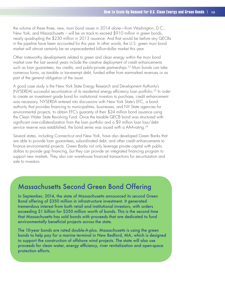the volume of these three, new, muni bond issues in 2014 alone—from Washington, D.C., New York, and Massachusetts – will be on track to exceed \$910 million in green bonds, nearly quadrupling the \$230 million in 2013 issuance. And that would be before any QECBs in the pipeline have been accounted for this year. In other words, the U.S. green muni bond market will almost certainly be an unprecedented billion-dollar market this year.

Other noteworthy developments related to green and clean energy within the muni bond market over the last several years include the creative deployment of credit enhancements such as loan quarantees, tax credits, and public-private partnerships.<sup>22</sup> Muni bonds can take numerous forms, as taxable or tax-exempt debt, funded either from earmarked revenues or as part of the general obligation of the issuer.

A good case study is the New York State Energy Research and Development Authority's (NYSERDA) successful securitization of its residential energy efficiency loan portfolio.23 In order to create an investment grade bond for institutional investors to purchase, credit enhancement was necessary. NYSERDA entered into discussions with New York State's EFC, a bond authority that provides financing to municipalities, businesses, and NY State agencies for environmental projects, to obtain EFC's guaranty of their \$24 million bond issuance using the Clean Water State Revolving Fund. Once the taxable QECB bond was structured with significant over-collateralization from the loan portfolio and a \$9 million loan loss/debt service reserve was established, the bond series was issued with a AAA-rating.<sup>24</sup>

Several states, including Connecticut and New York, have also developed Green Banks that are able to provide loan guarantees, subordinated debt, and other credit enhancements to finance environmental projects. Green Banks not only leverage private capital with public dollars to provide gap financing, but they can provide an integrated financing program to support new markets. They also can warehouse financed transactions for securitization and sale to investors.

### Massachusetts Second Green Bond Offering

In September, 2014, the state of Massachusetts announced its second Green Bond offering of \$350 million in infrastructure investment. It generated tremendous interest from both retail and institutional investors, with orders exceeding \$1 billion for \$350 million worth of bonds. This is the second time that Massachusetts has sold bonds with proceeds that are dedicated to fund environmentally beneficial projects across the state.

The 10-year bonds are rated double-A-plus. Massachusetts is using the green bonds to help pay for a marine terminal in New Bedford, MA, which is designed to support the construction of offshore wind projects. The state will also use proceeds for clean water, energy efficiency, river revitalization and open-space protection efforts.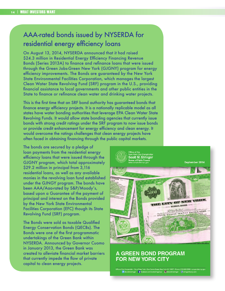## AAA-rated bonds issued by NYSERDA for residential energy efficiency loans

On August 13, 2014, NYSERDA announced that it had raised \$24.3 million in Residential Energy Efficiency Financing Revenue Bonds (Series 2013A) to finance and refinance loans that were issued through the Green Jobs-Green New York (GJGNY) program for energy efficiency improvements. The Bonds are guaranteed by the New York State Environmental Facilities Corporation, which manages the largest Clean Water State Revolving Fund (SRF) program in the U.S., providing financial assistance to local governments and other public entities in the State to finance or refinance clean water and drinking water projects.

This is the first time that an SRF bond authority has guaranteed bonds that finance energy efficiency projects. It is a nationally replicable model as all states have water bonding authorities that leverage EPA Clean Water State Revolving Funds. It would allow state bonding agencies that currently issue bonds with strong credit ratings under the SRF program to now issue bonds or provide credit enhancement for energy efficiency and clean energy. It would overcome the ratings challenges that clean energy projects have often faced in obtaining financing through the public capital markets.

The bonds are secured by a pledge of loan payments from the residential energy efficiency loans that were issued through the GJGNY program, which total approximately \$29.2 million in principal from 3,116 residential loans, as well as any available monies in the revolving loan fund established under the GJNGY program. The bonds have been AAA/Aaa-rated by S&P/Moody's, based upon a Guarantee of the payment of principal and interest on the Bonds provided by the New York State Environmental Facilities Corporation (EFC) though its State Revolving Fund (SRF) program.

The Bonds were sold as taxable Qualified Energy Conservation Bonds (QECBs). The Bonds were one of the first programmatic undertakings of the Green Bank within NYSERDA. Announced by Governor Cuomo in January 2013, the Green Bank was created to alleviate financial market barriers that currently impede the flow of private capital to clean energy projects.



#### **A GREEN BOND PROGRAM FOR NEW YORK CITY**

e of the Comptroller • City of New York • One Centre Street, New York, NY 10007 • Phone: (212) 669-3500 • comp<br>Continuity Continuity of Facebook.com/scottstringernyce @@scottmstringer ( \\) stringertheory.com • @@scottmstr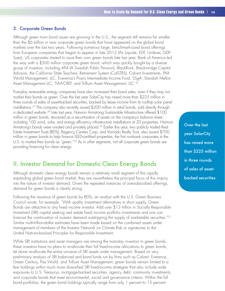#### 3. Corporate Green Bonds

Although green muni bond issues are growing in the U.S., the segment still remains far smaller than the \$6 billion in new corporate green bonds that have appeared on the global bond markets over the last two years. Following numerous large, benchmark-sized bond offerings from European companies that began to appear in late 2012 (Air Liquide, EDF, Unilever, GDF-Suez), US corporates started to issue their own green bonds late last year. Bank of America led the way with a \$500 million corporate green bond, which was quickly bought by a diverse group of investors, including AP4 (A Swedish Public Pension), BlackRock, Breckinridge Capital Advisors, the California State Teachers' Retirement System (CalSTRS), Calvert Investments, PAX World Management, LLC, Everence's Praxis Intermediate Income Fund, SSgA, Standish Mellon Asset Management LLC, TIAA-CREF, and Trillium Asset Management, LLC.<sup>26</sup>

Pure-play renewable energy companies have also increased their bond sales, even if they may not market their bonds as green. Over the last year SolarCity has raised more than \$225 million in three rounds of sales of asset-backed securities, backed by lease income from its rooftop solar panel installations.27 The company also recently issued \$200 million in retail bonds, sold directly through a dedicated website.28 Late last year, Hannon Armstrong Sustainable Infrastructure offered \$100 million in green bonds, structured as a securitization of assets on the company's balance sheet, including 100 wind, solar, and energy efficiency infrastructure installations at 20 properties. Hannon Armstrong's bonds were unrated and privately placed.<sup>29</sup> Earlier this year, two publicly traded Real Estate Investment Trusts (REITs), Regency Centers Corp. and Vornado Realty Trust, also issued \$700 million in green bonds to help finance LEED-certified properties, the first nonbank corporates in the U.S. to market their bonds as "green."<sup>30</sup> As in other segments, not all corporate green bonds are providing financing for clean energy.

### II. Investor Demand for Domestic Clean Energy Bonds

Although domestic clean energy bonds remain a relatively small segment of this rapidly expanding global green bond market, they are nevertheless the principal focus of this inquiry into the nature of investor demand. Given the repeated instances of oversubscribed offerings, demand for green bonds is clearly strong.

Following the issuance of green bonds by REITs, an analyst with the U.S. Green Business Council wrote, for example, "With quality investment alternatives in short supply, Green Bonds are attractive to any fixed income investor. Add over \$13 trillion in Socially Responsible Investment (SRI) capital seeking real estate fixed income portfolio investments and one can forecast the continuation of investor demand outstripping the supply of marketable securities."31 Similar multi-trillion-dollar estimates have been made based on the combined assets under management of members of the Investor Network on Climate Risk or signatories to the United Nations-backed Principles for Responsible Investment.

While SRI institutions and asset managers are among the mainstay investors in green bonds, these investors have no plans to re-allocate their full fixed-income allocations to green bonds, let alone re-allocate the entire universe of SRI assets under management. Based on very preliminary analysis of SRI balanced and bond funds run by firms such as Calvert, Everence, Green Century, Pax World, and Trillium Asset Management, green bonds remain limited to a few holdings within much more diversified SRI fixed-income strategies that also include wide exposures to U.S. Treasurys, mortgage-backed securities, agency debt, community investments, and corporate bonds that meet environmental, social and governance criteria. Within the full bond portfolios, the green bond holdings typically range from only 1 percent to 15 percent.

Over the last year SolarCity has raised more than \$225 million in three rounds of sales of assetbacked securities.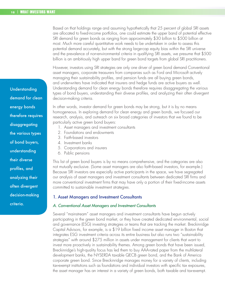Based on that holdings range and assuming hypothetically that 25 percent of global SRI assets are allocated to fixed-income portfolios, one could estimate the upper band of potential effective SRI demand for green bonds as ranging from approximately \$30 billion to \$500 billion at most. Much more careful quantitative work needs to be undertaken in order to assess this potential demand accurately, but with the strong large-cap equity bias within the SRI universe and the prevalence of non-environmental criteria in qualifying SRI assets, we presume that \$500 billion is an ambitiously high upper band for green bond targets from global SRI practitioners.

However, investors using SRI strategies are only one driver of green bond demand Conventional asset managers, corporate treasurers from companies such as Ford and Microsoft actively managing their sustainability profiles, and pension funds are all buying green bonds, and underwriters have indicated that insurers and hedge funds are active buyers as well. Understanding demand for clean energy bonds therefore requires disaggregating the various types of bond buyers, understanding their diverse profiles, and analyzing their often divergent decision-making criteria.

In other words, investor demand for green bonds may be strong, but it is by no means homogeneous. In exploring demand for clean energy and green bonds, we focused our research, analysis, and outreach on six broad categories of investors that we found to be particularly active green bond buyers:

- 1. Asset managers and investment consultants
- 2. Foundations and endowments
- 3. Faith-based investors
- 4. Investment banks
- 5. Corporations and insurers
- 6. Public pensions

This list of green bond buyers is by no means comprehensive, and the categories are also not mutually exclusive. (Some asset managers are also faith-based investors, for example.) Because SRI investors are especially active participants in the space, we have segregated our analysis of asset managers and investment consultants between dedicated SRI firms and more conventional investment firms that may have only a portion of their fixed-income assets committed to sustainable investment strategies.

#### 1. Asset Managers and Investment Consultants

#### *A. Conventional Asset Managers and Investment Consultants*

Several "mainstream" asset managers and investment consultants have begun actively participating in the green bond market, or they have created dedicated environmental, social and governance (ESG) investing strategies or teams that are tracking the market. Breckinridge Capital Advisors, for example, is a \$19 billion fixed income asset manager in Boston that integrates ESG investment criteria across its entire business but also runs two "sustainability strategies" with around \$275 million in assets under management for clients that want to invest more proactively in sustainability themes. Among green bonds that have been issued, Breckinridge's high-quality focus has led them to buy AAA-rated paper from the multilateral development banks, the NYSERDA taxable QECB green bond, and the Bank of America corporate green bond. Since Breckinridge manages money for a variety of clients, including tax-exempt institutions such as foundations and individual investors with specific tax exposures, the asset manager has an interest in a variety of green bonds, both taxable and tax-exempt.

Understanding demand for clean energy bonds therefore requires disaggregating the various types of bond buyers, understanding their diverse profiles, and analyzing their often divergent decision-making criteria.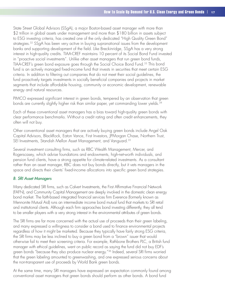State Street Global Advisors (SSgA), a major Boston-based asset manager with more than \$2 trillion in global assets under management and more than \$180 billion in assets subject to ESG investing criteria, has created one of the only dedicated "High Quality Green Bond" strategies.<sup>32</sup> SSgA has been very active in buying supranational issues from the development banks and supporting development of the field. Like Breckinridge, SSgA has a very strong interest in high-quality credits. TIAA-CREF maintains 10 percent of its Social Bond Fund invested in "proactive social investments". Unlike other asset managers that run green bond funds, TIAA-CREF's green bond exposure goes through the Social Choice Bond Fund.33 This bond fund is an actively managed fixed-income fund that invests in securities that meet certain ESG criteria. In addition to filtering out companies that do not meet their social guidelines, the fund proactively targets investments in socially beneficial companies and projects in market segments that include affordable housing, community or economic development, renewable energy and natural resources.

PIMCO expressed significant interest in green bonds, tempered by an observation that green bonds are currently slightly higher risk than similar paper, yet commanding lower yields.<sup>34</sup>

Each of these conventional asset managers has a bias toward high-quality green bonds with clear performance benchmarks. Without a credit rating and often credit enhancements, they often will not buy.

Other conventional asset managers that are actively buying green bonds include Angel Oak Capital Advisors, BlackRock, Eaton Vance, First Investors, JPMorgan Chase, Northern Trust, SEI Investments, Standish Mellon Asset Management, and Vanguard.<sup>35</sup>

Several investment consulting firms, such as RBC Wealth Management, Mercer, and Rogerscasey, which advise foundations and endowments, high-net-worth individuals, and pension fund clients, have a strong appetite for climate-related investments. As a consultant rather than an asset manager, RBC does not buy bonds directly, but it vets managers in the space and directs their clients' fixed-income allocations into specific green bond strategies.

#### *B. SRI Asset Managers*

Many dedicated SRI firms, such as Calvert Investments, the First Affirmative Financial Network (FAFN), and Community Capital Management are deeply involved in the domestic clean energy bond market. The faith-based integrated financial services firm Everence (formerly known as Mennonite Mutual Aid) runs an intermediate income bond mutual fund that markets to SRI retail and institutional clients. Although each firm approaches bond investing differently, they all tend to be smaller players with a very strong interest in the environmental attributes of green bonds.

The SRI firms are far more concerned with the actual use of proceeds than their green labeling, and many expressed a willingness to consider a bond used to finance environmental projects regardless of how it might be marketed. Because they typically have fairly strong ESG criteria, the SRI firms may be less inclined to buy a green bond from a "brown" issuer that would otherwise fail to meet their screening criteria. For example, Rathbone Brothers PLC, a British fund manager with ethical guidelines, went on public record as saying the fund did not buy EDF's green bonds "because they also produce nuclear energy."36 Indeed, several SRI firms worried that the green labeling amounted to greenwashing, and one expressed serious concerns about the non-transparent use of proceeds by World Bank green bonds.

At the same time, many SRI managers have expressed an expectation commonly found among conventional asset managers that green bonds should perform as other bonds. A bond fund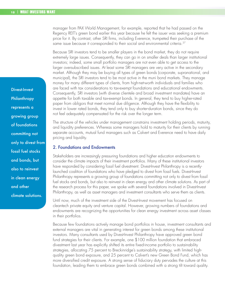manager from PAX World Management, for example, reported that he had passed on the Regency REIT's green bond earlier this year because he felt the issuer was seeking a premium price for it. By contrast, other SRI firms, including Everence, trumpeted their purchase of the same issue because it corresponded to their social and environmental criteria.<sup>37</sup>

Because SRI investors tend to be smaller players in the bond market, they do not require extremely large issues. Consequently, they can go in on smaller deals than larger institutional investors; indeed, some small portfolio managers are not even able to get access to the larger oversubscribed issues. At least some SRI managers are very active in the secondary market. Although they may be buying all types of green bonds (corporate, supranational, and municipal), the SRI investors tend to be most active in the muni bond markets. They manage money for many different types of clients, from high-net-worth individuals and families who are faced with tax considerations to tax-exempt foundations and educational endowments. Consequently, SRI investors (with diverse clientele and broad investment mandates) have an appetite for both taxable and tax-exempt bonds. In general, they tend to buy higher-rated paper from obligors that meet normal due diligence. Although they have the flexibility to invest in lower rated bonds, they tend only to buy shorter-duration bonds, since they do not feel adequately compensated for the risk over the longer term.

The structure of the vehicles under management constrains investment holding periods, maturity, and liquidity preferences. Whereas some managers hold to maturity for their clients by running separate accounts, mutual fund managers such as Calvert and Everence need to have daily pricing and liquidity.

#### 2. Foundations and Endowments

Stakeholders are increasingly pressuring foundations and higher education endowments to consider the climate impacts of their investment portfolios. Many of these institutional investors have responded by considering fossil fuel divestment. Divest-Invest Philanthropy is a recentlylaunched coalition of foundations who have pledged to divest from fossil fuels. Divest-Invest Philanthropy represents a growing group of foundations committing not only to divest from fossil fuel stocks and bonds, but also to reinvest in clean energy and other climate solutions. As part of the research process for this paper, we spoke with several foundations involved in Divest-Invest Philanthropy, as well as asset managers and investment consultants who serve them as clients.

Until now, much of the investment side of the Divest-Invest movement has focused on cleantech private equity and venture capital. However, growing numbers of foundations and endowments are recognizing the opportunities for clean energy investment across asset classes in their portfolios.

Because few foundations actively manage bond portfolios in house, investment consultants and external managers are vital in generating interest for green bonds among these institutional investors. Many consultants used by Divest-Invest Philanthropy have approved green bond fund strategies for their clients. For example, one \$100 million foundation that embraced divestment last year has explicitly shifted its entire fixed-income portfolio to sustainability strategies, allocating 75 percent to Breckinridge's sustainability strategy, with limited highquality green bond exposure, and 25 percent to Calvert's new Green Bond Fund, which has more diversified credit exposure. A strong sense of fiduciary duty pervades the culture at this foundation, leading them to embrace green bonds combined with a strong tilt toward quality.

Divest-Invest **Philanthropy** represents a growing group of foundations committing not only to divest from fossil fuel stocks and bonds, but also to reinvest in clean energy and other climate solutions.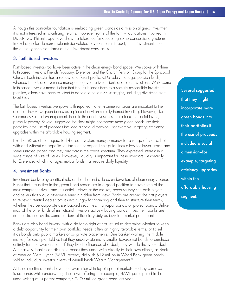Although this particular foundation is embracing green bonds as a mission-aligned investment, it is not interested in sacrificing returns. However, some of the family foundations involved in Divest-Invest Philanthropy have shown a tolerance for accepting some concessionary returns in exchange for demonstrable mission-related environmental impact, if the investments meet the due-diligence standards of their investment consultants.

#### 3. Faith-Based Investors

Faith-based investors too have been active in the clean energy bond space. We spoke with three faith-based investors: Friends Fiduciary, Everence, and the Church Pension Group for the Episcopal Church. Each investor has a somewhat different profile. CPG solely manages pension funds, whereas Friends and Everence manage money for private clients and other institutions. While some faith-based investors made it clear that their faith leads them to a socially responsible investment practice, others have been reluctant to adhere to certain SRI strategies, including divestment from fossil fuels.

The faith-based investors we spoke with reported that environmental issues are important to them, and that they view green bonds as a piece of environmentally-themed investing. However, like Community Capital Management, these faith-based investors share a focus on social issues, primarily poverty. Several suggested that they might incorporate more green bonds into their portfolios if the use of proceeds included a social dimension—for example, targeting efficiency upgrades within the affordable housing segment.

Like the SRI asset managers, faith-based investors manage money for a range of clients, both with and without an appetite for tax-exempt paper. Their guidelines allow for lower grade and some unrated paper, and they buy across the credit spectrum. They expressed interest in a wide range of size of issues. However, liquidity is important for these investors—especially for Everence, which manages mutual funds that require daily liquidity.

#### 4. Investment Banks

Investment banks play a critical role on the demand side as underwriters of clean energy bonds. Banks that are active in the green bond space are in a good position to have some of the most comprehensive—and influential—views of the market, because they see both buyers and sellers that would otherwise remain hidden from view. Banks are among the first players to review potential deals from issuers hungry for financing and then to structure their terms, whether they be corporate asset-backed securities, municipal bonds, or project bonds. Unlike most of the other kinds of institutional investors actively buying bonds, investment banks are not constrained by the same burdens of fiduciary duty as buy-side market participants.

Banks are also bond buyers, with a de facto right of first refusal to determine whether to keep a debt opportunity for their own portfolio needs, often on highly favorable terms, or to sell it as bonds onto public markets or as private placements. One banker working the middle market, for example, told us that they underwrote many smaller tax-exempt bonds to purchase entirely for their own account. If they like the finances of a deal, they will do the whole deal. Alternatively, banks can distribute bonds they underwrite directly to their own clients, as Bank of America Merrill Lynch (BAML) recently did with \$12 million in World Bank green bonds sold to individual investor clients of Merrill Lynch Wealth Management.<sup>38</sup>

At the same time, banks have their own interest in tapping debt markets, so they can also issue bonds while underwriting their own offering. For example, BAML participated in the underwriting of its parent company's \$500 million green bond last year.

Several suggested that they might incorporate more green bonds into their portfolios if the use of proceeds included a social dimension—for example, targeting efficiency upgrades within the affordable housing segment.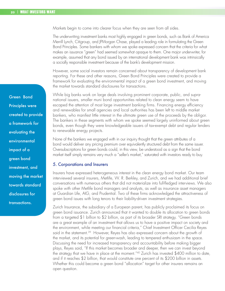Markets begin to come into clearer focus when they are seen from all sides.

The underwriting investment banks most highly engaged in green bonds, such as Bank of America Merrill Lynch, Citigroup, and JPMorgan Chase, played a leading role in formulating the Green Bond Principles. Some bankers with whom we spoke expressed concern that the criteria for what makes an issuance "green" had seemed somewhat opaque to them. One major underwriter, for example, assumed that any bond issued by an international development bank was intrinsically a socially responsible investment because of the bank's development mission.

However, some social investors remain concerned about transparency of development bank reporting. For these and other reasons, Green Bond Principles were created to provide a framework for evaluating the environmental impact of a green bond investment, and moving the market towards standard disclosures for transactions.

While big banks work on large deals involving prominent corporate, public, and supranational issuers, smaller muni bond opportunities related to clean energy seem to have escaped the attention of most large investment banking firms. Financing energy efficiency and renewables for small agencies and local authorities has been left to middle market bankers, who manifest little interest in the ultimate green use of the proceeds by the obligor. The bankers in these segments with whom we spoke seemed largely uninformed about green bonds, even though they were knowledgeable issuers of tax-exempt debt and regular lenders to renewable energy projects.

None of the bankers we engaged with in our inquiry thought that the green attributes of a bond would deliver any pricing premium over equivalently structured debt from the same issuer. Oversubscriptions for green bonds could, in this view, be understood as a sign that the bond market itself simply remains very much a "seller's market," saturated with investors ready to buy.

#### 5. Corporations and Insurers

Insurers have expressed heterogeneous interest in the clean energy bond market. Our team interviewed several insurers, Metlife, W. R. Berkley, and Zurich, and we had additional brief conversations with numerous others that did not materialize into full-fledged interviews. We also spoke with other Metlife bond managers and analysts, as well as insurance asset managers at Guardian Life, AIG, and Prudential. Two of these firms acknowledged the attractiveness of green bond issues with long tenors to their liability-driven investment strategies.

Zurich Insurance, the subsidiary of a European parent, has publicly proclaimed its focus on green bond issuance. Zurich announced that it wanted to double its allocation to green bonds from a targeted \$1 billion to \$2 billion, as part of its broader SRI strategy. "Green bonds are a great example of an investment that allows us to have a positive impact on society and the environment, while meeting our financial criteria," Chief Investment Officer Cecilia Reyes said in the statement.<sup>39</sup> However, Reyes has also expressed concern about the growth of the market, and its potential for green-wash, leading to tempered enthusiasm in the space. Discussing the need for increased transparency and accountability before making bigger plays, Reyes said, "If this market becomes broader and deeper, then we can invest beyond the strategy that we have in place at the moment."40 Zurich has invested \$400 million to date, and if it reaches \$2 billion, that would constitute one percent of its \$200 billion in assets. Whether this could become a green bond "allocation" target for other insurers remains an open question.

Green Bond Principles were created to provide a framework for evaluating the environmental impact of a green bond investment, and moving the market towards standard disclosures for transactions.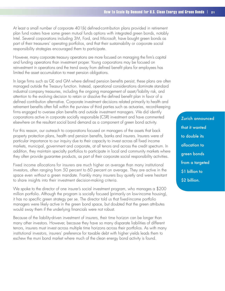At least a small number of corporate 401(k) defined-contribution plans provided in retirement plan fund rosters have some green mutual funds options with integrated green bonds, notably Intel. Several corporations including 3M, Ford, and Microsoft, have bought green bonds as part of their treasurers' operating portfolios, and that their sustainability or corporate social responsibility strategies encouraged them to participate.

However, many corporate treasury operations are more focused on managing the firm's capital and funding operations than investment proper. Young corporations may be focused on reinvestment in operations and the trend away from defined benefit plans for employees has limited the asset accumulation to meet pension obligations.

In large firms such as GE and GM where defined pension benefits persist, these plans are often managed outside the Treasury function. Instead, operational considerations dominate standard industrial company treasuries, including the ongoing management of asset/liability risk, and attention to the evolving decision to retain or dissolve the defined benefit plan in favor of a defined contribution alternative. Corporate investment decisions related primarily to health and retirement benefits often fall within the purview of third parties such as actuaries, record-keeping firms engaged to oversee plan benefits and outside investment managers. We did identify corporations active in corporate socially responsible (CSR) investment and have commented elsewhere on the resultant social bond demand as a component of green bond activity.

For this reason, our outreach to corporations focused on managers of the assets that back property protection plans, health and pension benefits, banks and insurers. Insurers were of particular importance to our inquiry due to their capacity to invest across all fixed income markets, municipal, government and corporate, at all tenors and across the credit spectrum. In addition, they maintain specialty portfolios to participate in local and community markets where they often provide guarantee products, as part of their corporate social responsibility activities.

Fixed income allocations for insurers are much higher on average than many institutional investors, often ranging from 50 percent to 60 percent on average. They are active in the space even without a green mandate. Frankly many insurers buy quietly and were hesitant to share insights into their investment decision-making criteria.

We spoke to the director of one insurer's social investment program, who manages a \$200 million portfolio. Although the program is socially focused (primarily on low-income housing), it has no specific green strategy per se. The director told us that fixed-income portfolio managers were likely active in the green bond space, but doubted that the green attributes would sway them if the underlying financials were not robust.

Because of the liability-driven investment of insurers, their time horizon can be longer than many other investors. However, because they have so many disparate liabilities of different tenors, insurers must invest across multiple time horizons across their portfolios. As with many institutional investors, insurers' preference for taxable debt with higher yields leads them to eschew the muni bond market where much of the clean energy bond activity is found.

Zurich announced that it wanted to double its allocation to green bonds from a targeted \$1 billion to \$2 billion.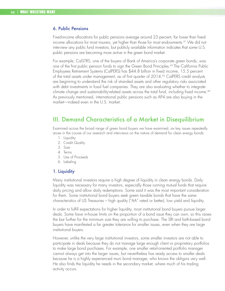#### 6. Public Pensions

Fixed-income allocations for public pensions average around 23 percent, far lower than fixedincome allocations for most insurers, yet higher than those for most endowments.<sup>41</sup> We did not interview any public fund investors, but publicly available information indicates that some U.S. public pensions are becoming more active in the green bond market.

For example, CalSTRS, one of the buyers of Bank of America's corporate green bonds, was one of the first public pension funds to sign the Green Bond Principles.42 The California Public Employees Retirement Systems (CalPERS) has \$44.8 billion in fixed income, 15.5 percent of the total assets under management, as of first quarter of 2014.43 CalPERS credit analysts are beginning to understand the risk of stranded assets and other regulatory risks associated with debt investments in fossil fuel companies. They are also evaluating whether to integrate climate change and sustainability-related assets across the total fund, including fixed income.44 As previously mentioned, international public pensions such as AP4 are also buying in the market—indeed even in the U.S. market.

### III. Demand Characteristics of a Market in Disequilibrium

Examined across the broad range of green bond buyers we have examined, six key issues repeatedly arose in the course of our research and interviews on the nature of demand for clean energy bonds:

- 1. Liquidity
- 2. Credit Quality
- 3. Size
- 4. Terms
- 5. Use of Proceeds
- 6. Labeling

#### 1. Liquidity

Many institutional investors require a high degree of liquidity in clean energy bonds. Daily liquidity was necessary for many investors, especially those running mutual funds that require daily pricing and allow daily redemptions. Some said it was the most important consideration for them. Some institutional bond buyers seek green taxable bonds that have the same characteristics of US Treasuries – high quality ("AA" rated or better), low yield and liquidity.

In order to fulfill expectations for higher liquidity, most institutional bond buyers pursue larger deals. Some have in-house limits on the proportion of a bond issue they can own, so this raises the bar further for the minimum size they are willing to purchase. The SRI and faith-based bond buyers have manifested a far greater tolerance for smaller issues, even when they are large institutional buyers.

However, unlike the very large institutional investors, some smaller investors are not able to participate in deals because they do not manage large enough client or proprietary portfolios to make large bond purchases. For example, one smaller retail-oriented portfolio manager cannot always get into the larger issues, but nevertheless has ready access to smaller deals because he is a highly experienced muni bond manager, who knows the obligors very well. He also finds the liquidity he needs in the secondary market, where much of his trading activity occurs.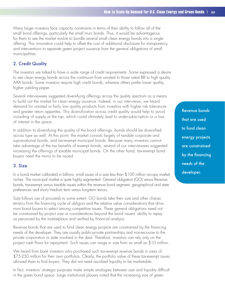Many larger investors face capacity constraints in terms of their ability to follow all of the small bond offerings, particularly the small muni bonds. Thus, it would be advantageous for them to see the market evolve to bundle several small clean energy bonds into a single offering. This innovation could help to offset the cost of additional disclosure for transparency and interventions to separate green project issuance from the general obligations of small municipalities.

#### 2. Credit Quality

The investors we talked to have a wide range of credit requirements. Some expressed a desire to see clean energy bonds across the continuum from unrated to those rated BB to high quality AAA bonds. Some investors require high credit bonds, whereas others prefer lower quality, higher yielding paper.

Several interviewees suggested diversifying offerings across the quality spectrum as a means to build out the market for clean energy issuance. Indeed, in our interviews, we heard demand for unrated or fairly low quality products from investors with higher risk tolerances and greater return appetites. This diversification across credit quality would help to avoid crowding of supply at the top, which could ultimately lead to under-subscription or a loss of interest in the space.

In addition to diversifying the quality of the bond offerings, bonds should be diversified across type as well. At this point, the market consists largely of taxable corporate and supranational bonds, and tax-exempt municipal bonds. Because many investors cannot take advantage of the tax benefits of exempt bonds, several of our interviewees suggested increasing the offerings of taxable municipal bonds. On the other hand, tax-exempt bond buyers need the munis to be issued.

#### 3. Size

In a bond market calibrated in billions, small issues of a size less than \$100 million occupy market niches. The municipal market is quite highly segmented: General obligation (GO) versus Revenue bonds, tax-exempt versus taxable issues within the revenue bond segment; geographical and state preferences and short/medium term versus long-term tenors.

Size follows use of proceeds to some extent. GO bonds take their size and other characteristics from the financing cycle of obligors and the relative value considerations that drive muni bond buyers to select among competitive issues. These general obligations need not be constrained by project size or considerations beyond the bond issuers' ability to repay as perceived by the marketplace and verified by financial analysis.

Revenue bonds that are used to fund clean energy projects are constrained by the financing needs of the developer. They are usually public-private partnerships and non-recourse to the private corporation or state involved in the deal. Therefore, investors can rely only on the project cash flows for repayment. Such issues can range in size from as small as \$10 million.

We heard from bank investors who purchased such tax-exempt revenue bonds in sizes of \$75-250 million for their own portfolios. Clearly, the portfolio value of these tax-exempt issues allowed them to find buyers. They did not need ascribed liquidity to be marketable.

In fact, investors' strategic purposes make simple analogies between size and liquidity difficult in the green bond space. Large institutional players noted that the increasing size of green

Revenue bonds that are used to fund clean energy projects are constrained by the financing needs of the developer.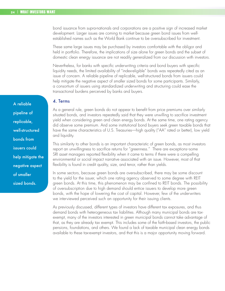bond issuance from supra-nationals and corporations are a positive sign of increased market development. Larger issues are coming to market because green bond issues from wellestablished names such as the World Bank continue to be oversubscribed for investment.

These same large issues may be purchased by investors comfortable with the obligor and held in portfolio. Therefore, the implications of size alone for green bonds and the subset of domestic clean energy issuance are not readily generalized from our discussion with investors.

Nevertheless, for banks with specific underwriting criteria and bond buyers with specific liquidity needs, the limited availability of "index-eligible" bonds was repeatedly cited as an issue of concern. A reliable pipeline of replicable, well-structured bonds from issuers could help mitigate the negative aspect of smaller sized bonds for some participants. Similarly, a consortium of issuers using standardized underwriting and structuring could ease the transactional burdens perceived by banks and buyers.

#### 4. Terms

As a general rule, green bonds do not appear to benefit from price premiums over similarly situated bonds, and investors repeatedly said that they were unwilling to sacrifice investment yield when considering green and clean energy bonds. At the same time, one rating agency did observe some premium. And some institutional bond buyers seek green taxable bonds that have the same characteristics of U.S. Treasuries—high quality ("AA" rated or better), low yield and liquidity.

This similarity to other bonds is an important characteristic of green bonds, as most investors report an unwillingness to sacrifice returns for "greenness." There are exceptions–some SRI asset managers reported flexibility when it came to terms if there were a compelling environmental or social impact narrative associated with an issue. However, most of that flexibility is found in credit quality, size, and tenor, rather than yields.

In some sectors, because green bonds are oversubscribed, there may be some discount to the yield for the issuer, which one rating agency observed to some degree with REIT green bonds. At this time, this phenomenon may be confined to REIT bonds. The possibility of oversubscription due to high demand should entice issuers to develop more green bonds, with the hope of lowering the cost of capital. However, few of the underwriters we interviewed perceived such an opportunity for their issuing clients.

As previously discussed, different types of investors have different tax exposures, and thus demand bonds with heterogeneous tax liabilities. Although many municipal bonds are taxexempt, many of the investors interested in green municipal bonds cannot take advantage of that, as they are already tax exempt. This includes some of the faith-based investors, the public pensions, foundations, and others. We found a lack of taxable municipal clean energy bonds available to these tax-exempt investors, and that this is a major opportunity moving forward.

A reliable pipeline of replicable, well-structured bonds from issuers could help mitigate the negative aspect of smaller sized bonds.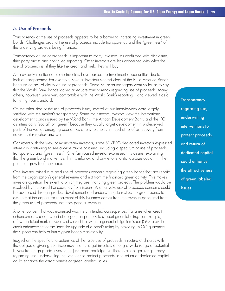#### 5. Use of Proceeds

Transparency of the use of proceeds appears to be a barrier to increasing investment in green bonds. Challenges around the use of proceeds include transparency and the "greenness" of the underlying projects being financed.

Transparency of use of proceeds is important to many investors, as confirmed with disclosure, third-party audits and continued reporting. Other investors are less concerned with what the use of proceeds is; if they like the credit and yield they will buy it.

As previously mentioned, some investors have passed up investment opportunities due to lack of transparency. For example, several investors steered clear of the Build America Bonds because of lack of clarity of use of proceeds. Some SRI asset managers went so far as to say that the World Bank bonds lacked adequate transparency regarding use of proceeds. Many others, however, were very comfortable with the World Bank's reporting—and viewed it as a fairly high-bar standard.

On the other side of the use of proceeds issue, several of our interviewees were largely satisfied with the market's transparency. Some mainstream investors view the international development bonds issued by the World Bank, the African Development Bank, and the IFC as intrinsically "social" or "green" because they usually target development in underserved parts of the world, emerging economies or environments in need of relief or recovery from natural catastrophes and war.

Consistent with the view of mainstream investors, some SRI/ESG dedicated investors expressed interest in continuing to see a wide range of issues, including a spectrum of use of proceeds transparency and "greenness." One faith-based investor expressed this desire, explaining that the green bond market is still in its infancy, and any efforts to standardize could limit the potential growth of the space.

One investor raised a related use of proceeds concern regarding green bonds that are repaid from the organization's general revenue and not from the financed green activity. This makes investors question the extent to which they are financing green projects. The problem would be resolved by increased transparency from issuers. Alternatively, use of proceeds concerns could be addressed through product development and underwriting to restructure green bonds to assure that the capital for repayment of this issuance comes from the revenue generated from the green use of proceeds, not from general revenue.

Another concern that was expressed was the unintended consequences that arise when credit enhancement is used instead of obligor transparency to support green labeling. For example, a few municipal market investors observed that when a general obligation issuer (GO) provides credit enhancement or facilitates the upgrade of a bond's rating by providing its GO guarantee, the support can help or hurt a given bond's marketability.

Judged on the specific characteristics of the issue use of proceeds, structure and status with the obligor, a given green issue may find its target investors among a wide range of potential buyers from high grade investors to junk bond participants. Therefore, obligor transparency regarding use, underwriting interventions to protect proceeds, and return of dedicated capital could enhance the attractiveness of green labeled issues.

**Transparency** regarding use, underwriting interventions to protect proceeds, and return of dedicated capital could enhance the attractiveness of green labeled issues.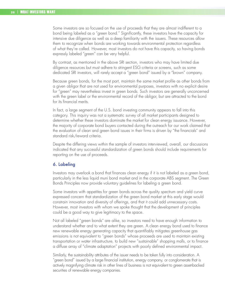Some investors are so focused on the use of proceeds that they are almost indifferent to a bond being labeled as a "green bond." Significantly, these investors have the capacity for intensive due diligence as well as a deep familiarity with the issuers. These resources allow them to recognize when bonds are working towards environmental protection regardless of what they're called. However, most investors do not have this capacity, so having bonds expressly labeled "green" can be very helpful.

By contrast, as mentioned in the above SRI section, investors who may have limited due diligence resources but must adhere to stringent ESG criteria or screens, such as some dedicated SRI investors, will rarely accept a "green bond" issued by a "brown" company.

Because green bonds, for the most part, maintain the same market profile as other bonds from a given obligor that are not used for environmental purposes, investors with no explicit desire for "green" may nevertheless invest in green bonds. Such investors are generally unconcerned with the green label or the environmental record of the obligor, but are attracted to the bond for its financial merits.

In fact, a large segment of the U.S. bond investing community appears to fall into this category. This inquiry was not a systematic survey of all market participants designed to determine whether these investors dominate the market for clean energy issuance. However, the majority of corporate bond buyers contacted during the outreach for our work claimed that the evaluation of clean and green bond issues in their firms is driven by "the financials" and standard risk/reward criteria.

Despite the differing views within the sample of investors interviewed, overall, our discussions indicated that any successful standardization of green bonds should include requirements for reporting on the use of proceeds.

#### 6. Labeling

Investors may overlook a bond that finances clean energy if it is not labeled as a green bond, particularly in the less liquid muni bond market and in the corporate ABS segment. The Green Bonds Principles now provide voluntary guidelines for labeling a green bond.

Some investors with appetites for green bonds across the quality spectrum and yield curve expressed concern that standardization of the green bond market at this early stage would constrain innovation and diversity of offerings, and that it could add unnecessary costs. However, most investors with whom we spoke thought that the development of principles could be a good way to give legitimacy to the space.

Not all labeled "green bonds" are alike, so investors need to have enough information to understand whether and to what extent they are green. A clean energy bond used to finance new renewable energy generating capacity that quantifiably mitigates greenhouse gas emissions is not equivalent to "green bonds" whose proceeds are used to maintain existing transportation or water infrastructure, to build new "sustainable" shopping malls, or to finance a diffuse array of "climate adaptation" projects with poorly defined environmental impact.

Similarly, the sustainability attributes of the issuer needs to be taken fully into consideration. A "green bond" issued by a large financial institution, energy company, or conglomerate that is actively magnifying climate risk in other lines of business is not equivalent to green asset-backed securities of renewable energy companies.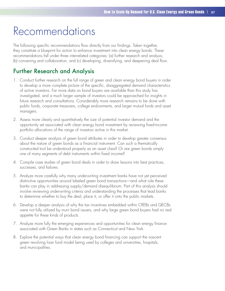## Recommendations

The following specific recommendations flow directly from our findings. Taken together, they constitute a blueprint for action to enhance investment into clean energy bonds. These recommendations fall under three interrelated categories: (a) further research and analysis, (b) convening and collaboration, and (c) developing, diversifying, and deepening deal flow.

### Further Research and Analysis

- 1. Conduct further research on the full range of green and clean energy bond buyers in order to develop a more complete picture of the specific, disaggregated demand characteristics of active investors. Far more data on bond buyers are available than this study has investigated, and a much larger sample of investors could be approached for insights in future research and consultations. Considerably more research remains to be done with public funds, corporate treasurers, college endowments, and larger mutual funds and asset managers.
- 2. Assess more clearly and quantitatively the size of potential investor demand and the opportunity set associated with clean energy bond investment by reviewing fixed-income portfolio allocations of the range of investors active in this market.
- 3. Conduct deeper analysis of green bond attributes in order to develop greater consensus about the nature of green bonds as a financial instrument. Can such a thematically constructed tool be understood properly as an asset class? Or are green bonds simply one of many segments of debt instruments within fixed income?
- 4. Compile case studies of green bond deals in order to draw lessons into best practices, successes, and failures.
- 5. Analyze more carefully why many underwriting investment banks have not yet perceived distinctive opportunities around labeled green bond transactions—and what role these banks can play in addressing supply/demand disequilibrium. Part of this analysis should involve reviewing underwriting criteria and understanding the processes that lead banks to determine whether to buy the deal, place it, or offer it onto the public markets.
- 6. Develop a deeper analysis of why the tax incentives embedded within CREBs and QECBs were not fully utilized by muni bond issuers, and why large green bond buyers had no real appetite for these kinds of products.
- 7. Analyze more fully the emerging experiences and opportunities for clean energy finance associated with Green Banks in states such as Connecticut and New York.
- 8. Explore the potential ways that clean energy bond financing can support the nascent green revolving loan fund model being used by colleges and universities, hospitals, and municipalities.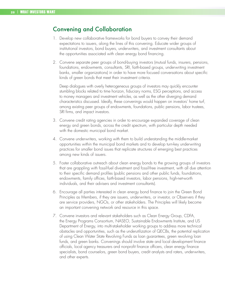### Convening and Collaboration

- 1. Develop new collaborative frameworks for bond buyers to convey their demand expectations to issuers, along the lines of this convening. Educate wider groups of institutional investors, bond buyers, underwriters, and investment consultants about the opportunities associated with clean energy bond financing.
- 2. Convene separate peer groups of bond-buying investors (mutual funds, insurers, pensions, foundations, endowments, consultants, SRI, faith-based groups, underwriting investment banks, smaller organizations) in order to have more focused conversations about specific kinds of green bonds that meet their investment criteria.

Deep dialogues with overly heterogeneous groups of investors may quickly encounter stumbling blocks related to time horizon, fiduciary norms, ESG perceptions, and access to money managers and investment vehicles, as well as the other diverging demand characteristics discussed. Ideally, these convenings would happen on investors' home turf, among existing peer groups of endowments, foundations, public pensions, labor trustees, SRI firms, and impact investors.

- 3. Convene credit rating agencies in order to encourage expanded coverage of clean energy and green bonds, across the credit spectrum, with particular depth needed with the domestic municipal bond market.
- 4. Convene underwriters, working with them to build understanding the middle-market opportunities within the municipal bond markets and to develop turn-key underwriting practices for smaller bond issues that replicate structures of emerging best practices among new kinds of issuers.
- 5. Foster collaborative outreach about clean energy bonds to the growing groups of investors that are grappling with fossil-fuel divestment and fossil-free investment, with all due attention to their specific demand profiles (public pensions and other public funds, foundations, endowments, family offices, faith-based investors, labor pensions, high-net-worth individuals, and their advisers and investment consultants).
- 6. Encourage all parties interested in clean energy bond finance to join the Green Bond Principles as Members, if they are issuers, underwriters, or investor, or Observers if they are service providers, NGOs, or other stakeholders. The Principles will likely become an important convening network and resource in this space.
- 7. Convene investors and relevant stakeholders such as Clean Energy Group, CDFA, the Energy Programs Consortium, NASEO, Sustainable Endowments Institute, and US Department of Energy, into multi-stakeholder working groups to address more technical obstacles and opportunities, such as the underutilization of QECBs, the potential replication of using Clean Water State Revolving Funds as loan guarantees, green revolving loan funds, and green banks. Convenings should involve state and local development finance officials, local agency treasurers and nonprofit finance officers, clean energy finance specialists, bond counselors, green bond buyers, credit analysts and raters, underwriters, and other experts.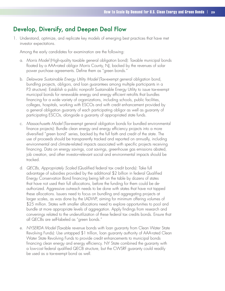### Develop, Diversify, and Deepen Deal Flow

1. Understand, optimize, and replicate key models of emerging best practices that have met investor expectations.

Among the early candidates for examination are the following:

- a. *Morris Model* (High-quality taxable general obligation bond): Taxable municipal bonds floated by a AAA-rated obligor Morris County, NJ, backed by the revenues of solar power purchase agreements. Define them as "green bonds."
- b. *Delaware Sustainable Energy Utility Model* (Tax-exempt general obligation bond, bundling projects, obligors, and loan guarantees among multiple participants in a P3 structure): Establish a public nonprofit Sustainable Energy Utility to issue tax-exempt municipal bonds for renewable energy and energy efficient retrofits that bundles financing for a wide variety of organizations, including schools, public facilities, colleges, hospitals, working with ESCOs and with credit enhancement provided by a general obligation guaranty of each participating obligor as well as guaranty of participating ESCOs, alongside a guaranty of appropriated state funds.
- c. *Massachusetts Model* (Tax-exempt general obligation bonds for bundled environmental finance projects): Bundle clean energy and energy efficiency projects into a more diversified "green bond" series, backed by the full faith and credit of the state. The use of proceeds should be transparently tracked and reported on annually, including environmental and climate-related impacts associated with specific projects receiving financing. Data on energy savings, cost savings, greenhouse gas emissions abated, job creation, and other investor-relevant social and environmental impacts should be tracked.
- d. *QECBs, Appropriately Scaled* (Qualified federal tax credit bonds): Take full advantage of subsidies provided by the additional \$2 billion in federal Qualified Energy Conservation Bond financing being left on the table by dozens of states that have not used their full allocations, before the funding for them could be deauthorized. Aggressive outreach needs to be done with states that have not tapped these allocations. Issuers need to focus on bundling and aggregating projects at larger scales, as was done by the LADWP, aiming for minimum offering volumes of \$25 million. States with smaller allocations need to explore opportunities to pool and bundle at more appropriate levels of aggregation. Apply findings from research and convenings related to the underutilization of these federal tax credits bonds. Ensure that all QECBs are self-labeled as "green bonds."
- e. *NYSERDA Model* (Taxable revenue bonds with loan guaranty from Clean Water State Revolving Funds): Use untapped \$1 trillion, loan guaranty authority of AAA-rated Clean Water State Revolving Funds to provide credit enhancements to municipal bonds financing clean energy and energy efficiency. NY State combined the guaranty with a low-cost federal qualified QECB structure, but the CWSRF guaranty could readily be used as a tax-exempt bond as well.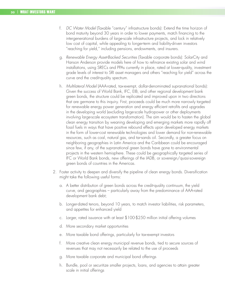- f. *DC Water Model* (Taxable "century" infrastructure bonds): Extend the time horizon of bond maturity beyond 30 years in order to lower payments, match financing to the intergenerational burdens of large-scale infrastructure projects, and lock in relatively low cost of capital, while appealing to longer-term and liability-driven investors "reaching for yield," including pensions, endowments, and insurers.
- g. *Renewable Energy Asset-Backed Securities* (Taxable corporate bonds): SolarCity and Hanson Anderson provide models here of how to refinance existing solar and wind installations, using SRECs and PPAs currently in place, rated at lower-quality, investment grade levels of interest to SRI asset managers and others "reaching for yield" across the curve and the credit-quality spectrum.
- h. *Multilateral Model* (AAA-rated, tax-exempt, dollar-denominated supranational bonds): Given the success of World Bank, IFC, EIB, and other regional development bank green bonds, the structure could be replicated and improved upon in two directions that are germane to this inquiry. First, proceeds could be much more narrowly targeted for renewable energy power generation and energy efficient retrofits and upgrades in the developing world (excluding large-scale hydropower or other deployments involving large-scale ecosystem transformation). The aim would be to hasten the global clean energy transition by weaning developing and emerging markets more rapidly off fossil fuels in ways that have positive rebound effects upon developed energy markets in the form of lower-cost renewable technologies and lower demand for non-renewable resources, such as coal, natural gas, and tar-sands oil. Secondly, a greater focus on neighboring geographies in Latin America and the Caribbean could be encouraged since few, if any, of the supranational green bonds have gone to environmental projects in the western hemisphere. These could be geographically targeted series of IFC or World Bank bonds, new offerings of the IADB, or sovereign/quasi-sovereign green bonds of countries in the Americas.
- 2. Foster activity to deepen and diversify the pipeline of clean energy bonds. Diversification might take the following useful forms:
	- a. A better distribution of green bonds across the credit-quality continuum, the yield curve, and geographies – particularly away from the predominance of AAA-rated development bank debt;
	- b. Longer-dated tenors, beyond 10 years, to match investor liabilities, risk parameters, and appetites for enhanced yield
	- c. Larger, rated issuance with at least \$100-\$250 million initial offering volumes
	- d. More secondary market opportunities
	- e. More taxable bond offerings, particularly for tax-exempt investors
	- f. More creative clean energy municipal revenue bonds, tied to secure sources of revenues that may not necessarily be related to the use of proceeds
	- g. More taxable corporate and municipal bond offerings
	- h. Bundle, pool or securitize smaller projects, loans, and agencies to attain greater scale in initial offerings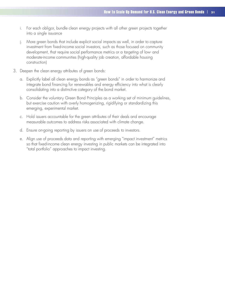- i. For each obligor, bundle clean energy projects with all other green projects together into a single issuance
- j. More green bonds that include explicit social impacts as well, in order to capture investment from fixed-income social investors, such as those focused on community development, that require social performance metrics or a targeting of low- and moderate-income communities (high-quality job creation, affordable housing construction)
- 3. Deepen the clean energy attributes of green bonds:
	- a. Explicitly label all clean energy bonds as "green bonds" in order to harmonize and integrate bond financing for renewables and energy efficiency into what is clearly consolidating into a distinctive category of the bond market.
	- b. Consider the voluntary Green Bond Principles as a working set of minimum guidelines, but exercise caution with overly homogenizing, rigidifying or standardizing this emerging, experimental market.
	- c. Hold issuers accountable for the green attributes of their deals and encourage measurable outcomes to address risks associated with climate change.
	- d. Ensure on-going reporting by issuers on use of proceeds to investors.
	- e. Align use of proceeds data and reporting with emerging "impact investment" metrics so that fixed-income clean energy investing in public markets can be integrated into "total portfolio" approaches to impact investing.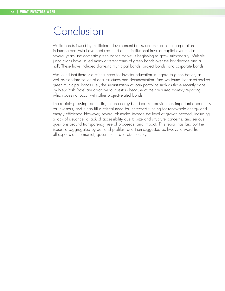## Conclusion

While bonds issued by multilateral development banks and multinational corporations in Europe and Asia have captured most of the institutional investor capital over the last several years, the domestic green bonds market is beginning to grow substantially. Multiple jurisdictions have issued many different forms of green bonds over the last decade and a half. These have included domestic municipal bonds, project bonds, and corporate bonds.

We found that there is a critical need for investor education in regard to green bonds, as well as standardization of deal structures and documentation. And we found that asset-backed green municipal bonds (i.e., the securitization of loan portfolios such as those recently done by New York State) are attractive to investors because of their required monthly reporting, which does not occur with other project-related bonds.

The rapidly growing, domestic, clean energy bond market provides an important opportunity for investors, and it can fill a critical need for increased funding for renewable energy and energy efficiency. However, several obstacles impede the level of growth needed, including a lack of issuance, a lack of accessibility due to size and structure concerns, and serious questions around transparency, use of proceeds, and impact. This report has laid out the issues, disaggregated by demand profiles, and then suggested pathways forward from all aspects of the market, government, and civil society.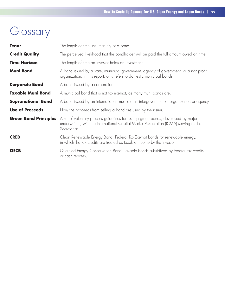## Glossary

| <b>Tenor</b>                 | The length of time until maturity of a bond.                                                                                                                                               |  |  |  |
|------------------------------|--------------------------------------------------------------------------------------------------------------------------------------------------------------------------------------------|--|--|--|
| <b>Credit Quality</b>        | The perceived likelihood that the bondholder will be paid the full amount owed on time.                                                                                                    |  |  |  |
| <b>Time Horizon</b>          | The length of time an investor holds an investment.                                                                                                                                        |  |  |  |
| <b>Muni Bond</b>             | A bond issued by a state, municipal government, agency of government, or a non-profit<br>organization. In this report, only refers to domestic municipal bonds.                            |  |  |  |
| <b>Corporate Bond</b>        | A bond issued by a corporation.                                                                                                                                                            |  |  |  |
| <b>Taxable Muni Bond</b>     | A municipal bond that is not tax-exempt, as many muni bonds are.                                                                                                                           |  |  |  |
| <b>Supranational Bond</b>    | A bond issued by an international, multilateral, intergovernmental organization or agency.                                                                                                 |  |  |  |
| <b>Use of Proceeds</b>       | How the proceeds from selling a bond are used by the issuer.                                                                                                                               |  |  |  |
| <b>Green Bond Principles</b> | A set of voluntary process guidelines for issuing green bonds, developed by major<br>underwriters, with the International Capital Market Association (ICMA) serving as the<br>Secretariat. |  |  |  |
| <b>CREB</b>                  | Clean Renewable Energy Bond. Federal Tax-Exempt bonds for renewable energy,<br>in which the tax credits are treated as taxable income by the investor.                                     |  |  |  |
| <b>QECB</b>                  | Qualified Energy Conservation Bond. Taxable bonds subsidized by federal tax credits<br>or cash rebates.                                                                                    |  |  |  |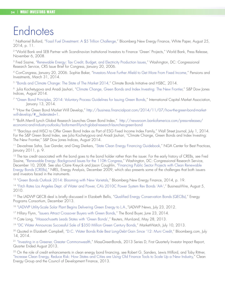## Endnotes

<sup>1</sup> Nathaniel Bullard, "Fossil Fuel Divestment: A \$5 Trillion Challenge," Bloomberg New Energy Finance, White Paper, August 25, 2014, p. 11.

<sup>2</sup> "World Bank and SEB Partner with Scandinavian Institutional Investors to Finance 'Green' Projects," World Bank, Press Release, November 6, 2008.

3 Fred Sissine, "Renewable Energy: Tax Credit, Budget, and Electricity Production Issues," Washington, DC: Congressional Research Service, CRS Issue Brief for Congress, January 20, 2006.

4 ConCongress, January 20, 2006. Sophie Baker, "Investors Move Further Afield to Get More From Fixed Income," Pensions and Investments, March 31, 2014.

5 "Bonds and Climate Change: The State of The Market 2014," Climate Bonds Initiative and HSBC, 2014.

6 Julia Kochetygova and Anadi Jauhari, "Climate Change, Green Bonds and Index Investing: The New Frontier," S&P Dow Jones Indices, August 2014.

7 "Green Bond Principles, 2014: Voluntary Process Guidelines for Issuing Green Bonds," International Capital Market Association, January 13, 2014.

<sup>8</sup> "How the Green Bond Market Will Develop," http://business.financialpost.com/2014/11/07/how-the-green-bond-marketwill-develop/# federated=1.

9 "BofA Merrill Lynch Global Research Launches Green Bond Index," http://newsroom.bankofamerica.com/press-releases/ economic-and-industry-outlooks/bofa-merrill-lynch-global-research-launches-green-bond

<sup>10</sup> "Barclays and MSCI to Offer Green Bond Index as Part of ESG Fixed Income Index Family," Wall Street Journal, July 1, 2014. For the S&P Green Bond Index, see Julia Kochetygova and Anadi Jauhari, "Climate Change, Green Bonds and Index Investing: The New Frontier," S&P Dow Jones Indices, August 2014.

11 Devashree Saha, Sue Gander, and Greg Dierkers, "State Clean Energy Financing Guidebook," NGA Center for Best Practices, January 2011, p. 9.

<sup>12</sup> The tax credit associated with the bond goes to the bond holder rather than the issuer. For the early history of CREBs, see Fred Sissine, "Renewable Energy: Background Issues for the 110th Congress," Washington, DC: Congressional Research Service, December 10, 2008. See also Claire Kreycik and Jason Coughlin, "Financing Public Sector Projects with Clean Renewable Energy Bonds (CREBs)," NREL, Energy Analysis, December 2009, which also presents some of the challenges that both issuers and investors faced in the instruments.

<sup>13</sup> "Green Bonds Outlook 2014: Blooming with New Varietals," Bloomberg New Energy Finance, 2014, p. 19.

14 "Fitch Rates Los Angeles Dept. of Water and Power, CA's 2010C Power System Rev Bonds 'AA-'," BusinessWire, August 5, 2010.

<sup>15</sup> The LADWP QECB deal is briefly discussed in Elizabeth Bellis, "Qualified Energy Conservation Bonds (QECBs)," Energy Programs Consortium, December 2013.

16 "LADWP Utility-Scale Solar Plant Begins Delivering Green Energy to L.A., "LADWP News, July 23, 2012.

<sup>17</sup> Hillary Flynn, "Issuers Attract Crossover Buyers with Green Bonds," The Bond Buyer, June 23, 2014.

<sup>18</sup> Cate Long, "Massachusetts Leads States with 'Green Bonds'," Reuters, MuniLand, May 28, 2013.

<sup>19</sup> "DC Water Announces Successful Sale of \$350 Million Green Century Bonds," MarketWatch, July 10, 2013.

<sup>20</sup> Quoted in Elizabeth Campbell, "D.C. Water Bonds Ride Best Long-Debt Gain Since '12: Muni Credit," Bloomberg.com, July 14, 2014.

<sup>21</sup> "Investing in a Greener, Greater Commonwealth," MassGreenBonds, 2013 Series D, First Quarterly Investor Impact Report, Quarter Ended August 2013.

<sup>22</sup> On the role of credit enhancements in clean energy bond financing, see Robert G. Sanders, Lewis Milford, and Toby Rittner, "Increase Clean Energy, Reduce Risk: How States and Cities are Using Old Finance Tools to Scale Up a New Industry," Clean Energy Group and the Council of Development Finance, 2013.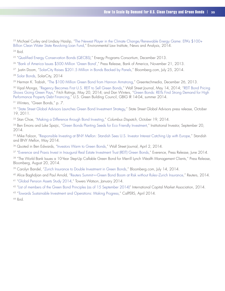<sup>23</sup> Michael Curley and Lindsay Haislip, "The Newest Player in the Climate Change/Renewable Energy Game: EPA's \$100+ Billion Clean Water State Revolving Loan Fund," Environmental Law Institute, News and Analysis, 2014.  $24$  Ibid.

<sup>25</sup> "Qualified Energy Conservation Bonds (QECBS)," Energy Programs Consortium, December 2013.

26 "Bank of America Issues \$500 Million 'Green Bond'," Press Release, Bank of America, November 21, 2013.

<sup>27</sup> Justin Doom, "SolarCity Raises \$201.5 Million in Bonds Backed by Panels," Bloomberg.com, July 25, 2014.

<sup>28</sup> Solar Bonds, SolarCity, 2014

29 Herman K. Trabish, "The \$100 Million Green Bond from Hannon Armstrong," Greentechmedia, December 26, 2013.

<sup>30</sup> Vipal Monga, "Regency Becomes First U.S. REIT to Sell Green Bonds," Wall Street Journal, May 14, 2014; "REIT Bond Pricing Shows Going Green Pays," Fitch Ratings, May 20, 2014; and Dan Winters, "Green Bonds: REITs Find Strong Demand for High Performance Property Debt Financing," U.S. Green Building Council, GBIG IR 14-04, summer 2014.

31 Winters, "Green Bonds," p. 7.

<sup>32</sup> "State Street Global Advisors Launches Green Bond Investment Strategy," State Street Global Advisors press release, October 19, 2011.

33 Stan Choe, "Making a Difference through Bond Investing," *Columbus Dispatch*, October 19, 2014.

<sup>34</sup> Ben Emons and Luke Spajic, "Green Bonds Planting Seeds for Eco Friendly Investment," Institutional Investor, September 20, 2014.

<sup>35</sup> Mike Faloon, "Responsible Investing at BNY Mellon: Standish Sees U.S. Investor Interest Catching Up with Europe," Standish and BNY Mellon, May 2014.

<sup>36</sup> Quoted in Ben Edwards, "Investors Warm to Green Bonds," Wall Street Journal, April 2, 2014.

<sup>37</sup> "Everence and Praxis Invest in Inaugural Real Estate Investment Trust (REIT) Green Bonds," Everence, Press Release, June 2014.

<sup>38</sup> "The World Bank Issues a 10-Year Step-Up Callable Green Bond for Merrill Lynch Wealth Management Clients," Press Release, Bloomberg, August 20, 2014.

<sup>39</sup> Carolyn Bandel, "Zurich Insurance to Double Investment in Green Bonds," Bloomberg.com, July 14, 2014.

40 Alice Baghdjian and Paul Arnold, "Reuters Summit¬–Green Bond Boom at Risk without Rules–Zurich Insurance," Reuters, 2014.

41 "Global Pension Assets Study 2014," Towers Watson, January 2014.

42 "List of members of the Green Bond Principles (as of 15 September 2014)" International Capital Market Association, 2014.

43 "Towards Sustainable Investment and Operations: Making Progress," CalPERS, April 2014.

 $44$  Ibid.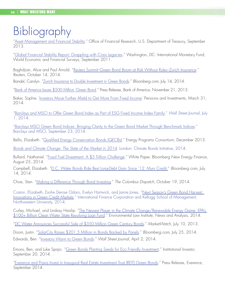## Bibliography

["Asset Management and Financial Stability.](http://www.treasury.gov/initiatives/ofr/research/Documents/OFR_AMFS_FINAL.pdf)" Office of Financial Research, U.S. Department of Treasury, September 2013.

["Global Financial Stability Report: Grappling with Crisis Legacies](https://www.imf.org/External/Pubs/FT/GFSR/2011/02/)." Washington, DC: International Monetary Fund, World Economic and Financial Surveys, September 2011.

Baghdjian, Alice and Paul Arnold. ["Reuters Summit–Green Bond Boom at Risk Without Rules–Zurich Insurance](http://in.reuters.com/article/2014/10/14/climatechange-summit-zurich-insurance-re-idINL6N0S716620141014)." *Reuters*, October 14, 2014.

Bandel, Carolyn. "[Zurich Insurance to Double Investment in Green Bonds](http://www.bloomberg.com/news/2014-07-14/zurich-insurance-to-double-investment-in-green-bonds.html)." *Bloomberg.com*, July 14, 2014.

["Bank of America Issues \\$500 Million 'Green Bond](http://newsroom.bankofamerica.com/press-releases/corporate-and-financial-news/bank-america-issues-500-million-green-bond)." Press Release, Bank of America, November 21, 2013.

Baker, Sophie. ["Investors Move Further Afield to Get More From Fixed Income." Pensions and Investments, March 31,](http://www.pionline.com/article/20140331/PRINT/303319981/investors-move-further-afield-to-get-more-from-fixed-income)  [2014.](http://www.pionline.com/article/20140331/PRINT/303319981/investors-move-further-afield-to-get-more-from-fixed-income)

["Barclays and MSCI to Offer Green Bond Index as Part of ESG Fixed Income Index Family.](http://online.wsj.com/article/PR-CO-20140701-905666.html)" *Wall Street Journal*, July 1, 2014.

["Barclays MSCI Green Bond Indices: Bringing Clarity to the Green Bond Market Through Benchmark Indices](http://investmentbank.barclays.com/pdf/Barclays_MSCI_Green_Bond_Indices.pdf)." Barclays and MSCI, September 23, 2014.

Bellis, Elizabeth. ["Qualified Energy Conservation Bonds \(QECBs\).](file:///C:\Users\Joshua\Dropbox\Croatan%20Projects\Clean%20Energy%20Group\White%20Paper\Several%20states,%20including%20Florida,%20New%20Hampshire,%20New%20Mexico,%20and%20West%20Virginia,%20have%20apparently%20used%20none%20of%20their%20federal%20QCEB%20allocations)" Energy Programs Consortium, December 2013.

*[Bonds and Climate Change: The State of the Market in 2014](http://www.climatebonds.net/files/post/files/cb-hsbc-15july2014-a3-final.pdf).* London: Climate Bonds Initiative, 2014.

Bullard, Nathaniel. ["Fossil Fuel Divestment: A \\$5 Trillion Challenge](http://about.bnef.com/content/uploads/sites/4/2014/08/BNEF_DOC_2014-08-25-Fossil-Fuel-Divestment.pdf)." White Paper, Bloomberg New Energy Finance, August 25, 2014.

Campbell, Elizabeth. "[D.C. Water Bonds Ride Best Long-Debt Gain Since '12: Muni Credit.](http://www.bloomberg.com/news/2014-07-15/d-c-water-bonds-ride-best-long-debt-gain-since-12-muni-credit.html)" *Bloomberg.com*, July 14, 2014.

Choe, Stan. "[Making a Difference Through Bond Investing.](http://www.dispatch.com/content/stories/business/2014/10/19/making-a-difference-through-bond-investing.html)" *The Columbus Dispatch*, October 19, 2014.

Coston, Elizabeth, Esohe Denise Odaro, Evelyn Hartwick, and Jamie Jones. "[Next Season's Green Bond Harvest:](http://www.ifc.org/wps/wcm/connect/83eb088044647c9a82b38ec66d9c728b/Next+Season%27s+Green+Bond+Harvest.pdf?MOD=AJPERES)  [Innovations in Green Credit Markets](http://www.ifc.org/wps/wcm/connect/83eb088044647c9a82b38ec66d9c728b/Next+Season%27s+Green+Bond+Harvest.pdf?MOD=AJPERES)." International Finance Corporation and Kellogg School of Management, Northwestern University, 2014.

Curley, Michael, and Lindsay Haislip. ["The Newest Player in the Climate Change/Renewable Energy Game: EPA's](http://www.eli.org/sites/default/files/docs/elr_april14.pdf)  [\\$100+ Billion Clean Water State Revolving Loan Fund](http://www.eli.org/sites/default/files/docs/elr_april14.pdf)." Environmental Law Institute, News and Analysis, 2014.

["DC Water Announces Successful Sale of \\$350 Million Green Century Bonds.](http://www.marketwatch.com/story/dc-water-announces-successful-sale-of-350-million-green-century-bonds-2014-07-10)" *MarketWatch*, July 10, 2013.

Doom, Justin. ["SolarCity Raises \\$201.5 Million in Bonds Backed by Panels.](http://www.bloomberg.com/news/2014-07-25/solarcity-raises-201-5-million-in-bonds-backed-by-panels.html)" *Bloomberg.com*, July 25, 2014. Edwards, Ben. "[Investors Warm to Green Bonds.](http://online.wsj.com/news/articles/SB10001424052702303847804579477051872228572)" *Wall Street Journal*, April 2, 2014.

Emons, Ben, and Luke Spajic. ["Green Bonds Planting Seeds for Eco Friendly Investment](http://www.institutionalinvestor.com/gmtl/3382260/Green-Bonds-Planting-Seeds-for-Eco-Friendly-Investment.html?ArticleID=3382260&p=1)." *Institutional Investor*, September 20, 2014.

["Everence and Praxis Invest in Inaugural Real Estate Investment Trust \(REIT\) Green Bonds](https://www.everence.com/showitem.aspx?id=19104)." Press Release, Everence, September 2014.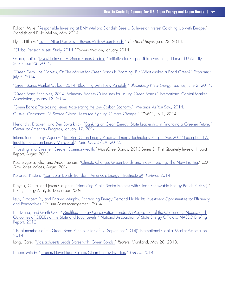Faloon, Mike. ["Responsible Investing at BNY Mellon: Standish Sees U.S. Investor Interest Catching Up with Europe](http://us.bnymellonam.com/core/library/documents/knowledge/Viewpoints/sStandish_Responsible_Investing.pdf)." Standish and BNY Mellon, May 2014.

Flynn, Hillary. "[Issuers Attract Crossover Buyers With Green Bonds](file:///C:\Users\Joshua\Documents\Croatan\Issuers%20Attract%20Crossover%20Buyers%20With%20Green%20Bonds)." *The Bond Buyer*, June 23, 2014.

["Global Pension Assets Study 2014](http://www.towerswatson.com/en/Insights/IC-Types/Survey-Research-Results/2014/02/Global-Pensions-Asset-Study-2014)." Towers Watson, January 2014.

Grace, Katie. "[Divest to Invest: A Green Bonds Update.](http://hausercenter.org/iri/divest-to-invest-a-green-bonds-update)" Initiative for Responsible Investment, Harvard University, September 23, 2014.

["Green Grow the Markets, O: The Market for Green Bonds Is Booming. But What Makes a Bond Green?](http://www.economist.com/news/finance-and-economics/21606326-market-green-bonds-booming-what-makes-bond-green-green-grow?fsrc=email_to_a_friend)" *Economist*, July 5, 2014.

["Green Bonds Market Outlook 2014](http://about.bnef.com/white-papers/green-bonds-market-outlook-2014/content/uploads/sites/4/2014/06/2014-06-02-Green-bonds-market-outlook-2014.pdf): Blooming with New Varietals." *Bloomberg New Energy Finance*, June 2, 2014.

["Green Bond Principles, 2014: Voluntary Process Guidelines for Issuing Green Bonds](http://www.icmagroup.org/Regulatory-Policy-and-Market-Practice/green-bonds/)." International Capital Market Association, January 13, 2014.

["Green Bonds: Trailblazing Issuers Accelerating the Low Carbon Economy.](http://www.asyousow.org/our-work/energy/climate-change/fossil-free-investment/green-bonds/)" Webinar, As You Sow, 2014. Gustke, Constance. ["A Scarce Global Resource Fighting Climate Change."](http://www.cnbc.com/id/101796340) *CNBC*, July 1, 2014.

Hendricks, Bracken, and Ben Bovarknick. ["Banking on Clean Energy: State Leadership in Financing a Greener Future.](http://www.americanprogress.org/issues/green/news/2014/01/17/82355/banking-on-clean-energy-state-leadership-in-financing-a-greener-future-2/)" Center for American Progress, January 17, 2014.

International Energy Agency. "Tracking Clean Energy Progress: Energy Technology Perspectives 2012 Excerpt as IEA [Input to the Clean Energy Ministerial.](http://www.cleanenergyministerial.org/Portals/2/pdfs/Tracking_Clean_Energy_Progress.pdf)" Paris: OECD/IEA, 2012.

["Investing in a Greener, Greater Commonwealth](http://www.massbondholder.com/sites/default/files/files/QE%20August%202014%20Green%20Report%281%29.pdf)." MassGreenBonds, 2013 Series D, First Quarterly Investor Impact Report, August 2013.

Kochetygova, Julia, and Anadi Jauhari. ["Climate Change, Green Bonds and Index Investing: The New Frontier.](http://us.spindices.com/documents/research/climate-change-green-bonds-and-index-investing-the-new-frontier.pdf)" *S&P Dow Jones Indices*, August 2014

Korosec, Kirsten. "[Can Solar Bonds Transform America's Energy Infrastructure?](http://fortune.com/2014/10/17/solarcity-solar-bonds/)" *Fortune*, 2014.

Kreycik, Claire, and Jason Coughlin. "[Financing Public Sector Projects with Clean Renewable Energy Bonds \(CREBs\)](http://www.nrel.gov/docs/fy10osti/46605.pdf)." NREL, Energy Analysis, December 2009.

Levy, Elizabeth R., and Brianna Murphy. "[Increasing Energy Demand Highlights Investment Opportunities for Efficiency](http://www.trilliuminvest.com/increasing-energy-demand-highlights-investment-opportunities-efficiency-renewables/?utm_source=feedburner&utm_medium=email&utm_campaign=Feed%3A+trilliuminvest+%28trilliuminvest%29)  [and Renewables.](http://www.trilliuminvest.com/increasing-energy-demand-highlights-investment-opportunities-efficiency-renewables/?utm_source=feedburner&utm_medium=email&utm_campaign=Feed%3A+trilliuminvest+%28trilliuminvest%29)" Trillium Asset Management, 2014.

Lin, Diana, and Garth Otto. ["Qualified Energy Conservation Bonds: An Assessment of the Challenges, Needs, and](http://www.naseo.org/data/sites/1/documents/publications/QECB_Briefing_Report.pdf)  [Outcomes of QECBs at the State and Local Levels](http://www.naseo.org/data/sites/1/documents/publications/QECB_Briefing_Report.pdf)." National Association of State Energy Officials, NASEO Briefing Report, 2012.

["List of members of the Green Bond Principles \(as of 15 September 2014\)](http://www.icmagroup.org/Regulatory-Policy-and-Market-Practice/green-bonds/membership/)" International Capital Market Association, 2014.

Long, Cate. ["Massachusetts Leads States with 'Green Bonds](http://blogs.reuters.com/muniland/2013/05/28/massachusetts-leads-states-with-green-bonds/)." *Reuters*, MuniLand, May 28, 2013.

Lubber, Mindy. "[Insurers Have Huge Role as Clean Energy Investors](http://www.forbes.com/sites/mindylubber/2014/03/03/insurers-have-huge-role-as-clean-energy-investors/)." *Forbes*, 2014.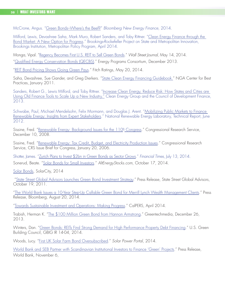McCrone, Angus. ["Green Bonds–Where's the Beef?](https://www.bnef.com/InsightDownload/10604/pdf/)" *Bloomberg New Energy Finance*, 2014.

Milford, Lewis, Devashree Saha, Mark Muro, Robert Sanders, and Toby Rittner. "[Clean Energy Finance through the](http://www.brookings.edu/~/media/research/files/reports/2014/04/clean%20energy%20bonds/cleanenergyfunds.pdf)  [Bond Market: A New Option for Progress.](http://www.brookings.edu/~/media/research/files/reports/2014/04/clean%20energy%20bonds/cleanenergyfunds.pdf)" Brookings-Rockefeller Project on State and Metropolitan Innovation, Brookings Institution, Metropolitan Policy Program, April 2014.

Monga, Vipal. ["Regency Becomes First U.S. REIT to Sell Green Bonds.](http://blogs.wsj.com/cfo/2014/05/14/regency-becomes-first-u-s-reit-to-sell-green-bonds/)" *Wall Street Journal*, May 14, 2014.

["Qualified Energy Conservation Bonds \(QECBS\).](http://energy.gov/sites/prod/files/2014/06/f16/QECB_memo_12-13-13.pdf)" Energy Programs Consortium, December 2013.

["REIT Bond Pricing Shows Going Green Pays](https://www.fitchratings.com/gws/en/fitchwire/fitchwirearticle/REIT-Bond-Pricing?pr_id=830914)." Fitch Ratings, May 20, 2014.

Saha, Devashree, Sue Gander, and Greg Dierkers. "[State Clean Energy Financing Guidebook](http://www.nga.org/files/live/sites/NGA/files/pdf/1101CLEANENERGYFINANCING.PDF)." NGA Center for Best Practices, January 2011.

Sanders, Robert G., Lewis Milford, and Toby Rittner. "[Increase Clean Energy, Reduce Risk: How States and Cities are](http://www.cleanegroup.org/assets/Uploads/2013-Files/Reports/CEBFI-Reduce-Risk-Increase-Clean-Energy-Report-August2013.pdf)  [Using Old Finance Tools to Scale Up a New Industry.](http://www.cleanegroup.org/assets/Uploads/2013-Files/Reports/CEBFI-Reduce-Risk-Increase-Clean-Energy-Report-August2013.pdf)" Clean Energy Group and the Council of Development Finance, 2013.

Schwabe, Paul, Michael Mendelsohn, Felix Mormann, and Douglas J. Arent. "[Mobilizing Public Markets to Finance](http://www.nrel.gov/docs/fy12osti/55021.pdf)  [Renewable Energy: Insights from Expert Stakeholders.](http://www.nrel.gov/docs/fy12osti/55021.pdf)" National Renewable Energy Laboratory, Technical Report, June 2012.

Sissine, Fred. ["Renewable Energy: Background Issues for the 110th Congress](https://waxman.house.gov/sites/waxman.house.gov/files/documents/UploadedFiles/Renewable_Energy_Tax_Credit_Budget_and_Electricity_Production_Issues.pdf)." Congressional Research Service, December 10, 2008.

Sissine, Fred. ["Renewable Energy: Tax Credit, Budget, and Electricity Production Issues](http://fpc.state.gov/documents/organization/60712.pdf)." Congressional Research Service, CRS Issue Brief for Congress, January 20, 2006.

Shotter, James. ["Zurich Plans to Invest \\$2bn in Green Bonds as Sector Grows.](http://www.ft.com/intl/cms/s/0/997fa148-08ff-11e4-9d3c-00144feab7de.html)" *Financial Times*, July 13, 2014. Sonerud, Beate. ["Solar Bonds for Small Investors](http://cleanenergysector.com/solar-bonds-for-small-investors/)." *AltEnergyStocks.com*, October 17, 2014.

[Solar Bonds,](https://solarbonds.solarcity.com/) SolarCity, 2014

 "[State Street Global Advisors Launches Green Bond Investment Strategy.](http://statestreet.com/wps/wcm/connect/9502618048bf8ffca5fbfd9af3c92c36/Green+Bond+Strategy+FINAL.pdf?MOD=AJPERES&CONVERT_TO=url&CACHEID=9502618048bf8ffca5fbfd9af3c92c36)" Press Release, State Street Global Advisors, October 19, 2011.

["The World Bank Issues a 10-Year Step-Up Callable Green Bond for Merrill Lynch Wealth Management Clients.](http://www.bloomberg.com/article/2014-08-20/aHvAn0EPp2.Y.html)" Press Release, Bloomberg, August 20, 2014.

["Towards Sustainable Investment and Operations: Making Progress](http://www.calpers.ca.gov/eip-docs/about/pubs/esg-report-2014.pdf)." CalPERS, April 2014.

Trabish, Herman K. ["The \\$100 Million Green Bond from Hannon Armstrong.](http://www.greentechmedia.com/articles/read/The-100-Million-Green-Bond-From-Hannon-Armstrong)" Greentechmedia, December 26, 2013.

Winters, Dan. "[Green Bonds: REITs Find Strong Demand for High Performance Property Debt Financing.](http://www.usgbc.org/sites/default/files/Green%20Bonds%202Q14%20-%208.6%20-%20Dan%20Winters.pdf)" U.S. Green Building Council, GBIG IR 14-04, 2014.

Woods, Lucy. "[First UK Solar Farm Bond Oversubscribed](http://www.solarpowerportal.co.uk/news/first_uk_solar_farm_bond_oversubscribed)." *Solar Power Portal*, 2014.

[World Bank and SEB Partner with Scandinavian Institutional Investors to Finance 'Green' Projects.](http://treasury.worldbank.org/cmd/htm/GreenBond.html)" Press Release, World Bank, November 6,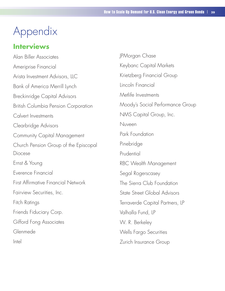## Appendix

## **Interviews**

Alan Biller Associates Ameriprise Financial Arista Investment Advisors, LLC Bank of America Merrill Lynch Breckinridge Capital Advisors British Columbia Pension Corporation Calvert Investments Clearbridge Advisors Community Capital Management Church Pension Group of the Episcopal Diocese Ernst & Young Everence Financial First Affirmative Financial Network Fairview Securities, Inc. Fitch Ratings Friends Fiduciary Corp. Gifford Fong Associates Glenmede Intel

JPMorgan Chase Keybanc Capital Markets Krietzberg Financial Group Lincoln Financial Metlife Investments Moody's Social Performance Group NMS Capital Group, Inc. Nuveen Park Foundation Pinebridge Prudential RBC Wealth Management Segal Rogerscasey The Sierra Club Foundation State Street Global Advisors Terraverde Capital Partners, LP Valhalla Fund, LP W. R. Berkeley Wells Fargo Securities Zurich Insurance Group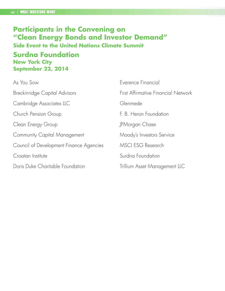## **Participants in the Convening on "Clean Energy Bonds and Investor Demand" Side Event to the United Nations Climate Summit Surdna Foundation New York City September 22, 2014**

| As You Sow                              | Everence Financial                         |
|-----------------------------------------|--------------------------------------------|
| Breckinridge Capital Advisors           | <b>First Affirmative Financial Network</b> |
| Cambridge Associates LLC                | Glenmede                                   |
| Church Pension Group                    | F. B. Heron Foundation                     |
| Clean Energy Group                      | JPMorgan Chase                             |
| <b>Community Capital Management</b>     | Moody's Investors Service                  |
| Council of Development Finance Agencies | <b>MSCI ESG Research</b>                   |
| Croatan Institute                       | Surdna Foundation                          |
| Doris Duke Charitable Foundation        | Trillium Asset Management LLC              |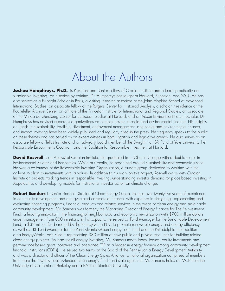## About the Authors

**Joshua Humphreys, Ph.D.**, is President and Senior Fellow of Croatan Institute and a leading authority on sustainable investing. An historian by training, Dr. Humphreys has taught at Harvard, Princeton, and NYU. He has also served as a Fulbright Scholar in Paris, a visiting research associate at the Johns Hopkins School of Advanced International Studies, an associate fellow at the Rutgers Center for Historical Analysis, a scholar-in-residence at the Rockefeller Archive Center, an affiliate of the Princeton Institute for International and Regional Studies, an associate of the Minda de Gunzburg Center for European Studies at Harvard, and an Aspen Environment Forum Scholar. Dr. Humphreys has advised numerous organizations on complex issues in social and environmental finance. His insights on trends in sustainability, fossil-fuel divestment, endowment management, and social and environmental finance, and impact investing have been widely published and regularly cited in the press. He frequently speaks to the public on these themes and has served as an expert witness in both litigation and legislative arenas. He also serves as an associate fellow at Tellus Institute and an advisory board member of the Dwight Hall SRI Fund at Yale University, the Responsible Endowments Coalition, and the Coalition for Responsible Investment at Harvard.

**David Roswell** is an Analyst at Croatan Institute. He graduated from Oberlin College with a double major in Environmental Studies and Economics. While at Oberlin, he organized around sustainability and economic justice. He was a co-founder of the Responsible Investing Organization, a student group dedicated to working with the college to align its investments with its values. In addition to his work on this project, Roswell works with Croatan Institute on projects tracking trends in responsible investing, understanding investor demand for place-based investing in Appalachia, and developing models for institutional investor action on climate change.

**Robert Sanders** is Senior Finance Director at Clean Energy Group. He has over twenty-five years of experience in community development and energy-related commercial finance, with expertise in designing, implementing and evaluating financing programs, financial products and related services in the areas of clean energy and sustainable community development. Mr. Sanders was formerly the Managing Director of Energy Finance for The Reinvestment Fund, a leading innovator in the financing of neighborhood and economic revitalization with \$700 million dollars under management from 800 investors. In this capacity, he served as Fund Manager for the Sustainable Development Fund, a \$32 million fund created by the Pennsylvania PUC to promote renewable energy and energy efficiency, as well as TRF Fund Manager for the Pennsylvania Green Energy Loan Fund and the Philadelphia metropolitan area EnergyWorks Loan Fund – representing \$80 million of new public and private resources for building-related clean energy projects. As lead for all energy investing, Mr. Sanders made loans, leases, equity investments and performance-based grant incentives and positioned TRF as a leader in energy finance among community development financial institutions (CDFIs). He served two terms on the Board of the Pennsylvania Energy Development Authority and was a director and officer of the Clean Energy States Alliance, a national organization comprised of members from more than twenty publicly-funded clean energy funds and state agencies. Mr. Sanders holds an MCP from the University of California at Berkeley and a BA from Stanford University.